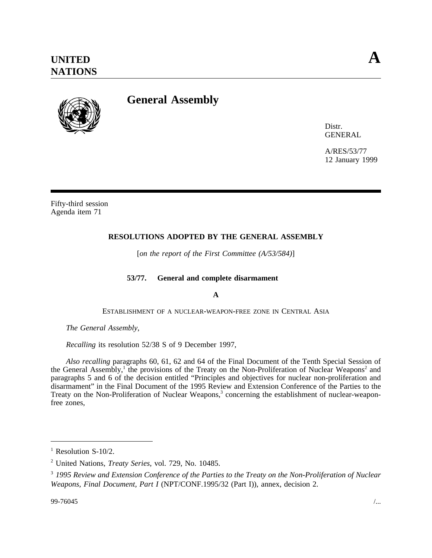

# **General Assembly**

Distr. GENERAL

A/RES/53/77 12 January 1999

Fifty-third session Agenda item 71

## **RESOLUTIONS ADOPTED BY THE GENERAL ASSEMBLY**

[*on the report of the First Committee (A/53/584)*]

**53/77. General and complete disarmament**

**A**

ESTABLISHMENT OF A NUCLEAR-WEAPON-FREE ZONE IN CENTRAL ASIA

*The General Assembly*,

*Recalling* its resolution 52/38 S of 9 December 1997,

*Also recalling* paragraphs 60, 61, 62 and 64 of the Final Document of the Tenth Special Session of the General Assembly,<sup>1</sup> the provisions of the Treaty on the Non-Proliferation of Nuclear Weapons<sup>2</sup> and paragraphs 5 and 6 of the decision entitled "Principles and objectives for nuclear non-proliferation and disarmament" in the Final Document of the 1995 Review and Extension Conference of the Parties to the Treaty on the Non-Proliferation of Nuclear Weapons,<sup>3</sup> concerning the establishment of nuclear-weaponfree zones,

<sup>&</sup>lt;sup>1</sup> Resolution S-10/2.

<sup>2</sup> United Nations, *Treaty Series*, vol. 729, No. 10485.

<sup>3</sup> *1995 Review and Extension Conference of the Parties to the Treaty on the Non-Proliferation of Nuclear Weapons, Final Document, Part I* (NPT/CONF.1995/32 (Part I)), annex, decision 2.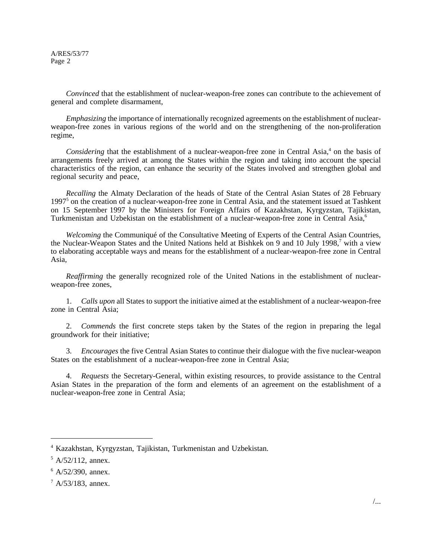*Convinced* that the establishment of nuclear-weapon-free zones can contribute to the achievement of general and complete disarmament,

*Emphasizing* the importance of internationally recognized agreements on the establishment of nuclearweapon-free zones in various regions of the world and on the strengthening of the non-proliferation regime,

*Considering* that the establishment of a nuclear-weapon-free zone in Central Asia,<sup>4</sup> on the basis of arrangements freely arrived at among the States within the region and taking into account the special characteristics of the region, can enhance the security of the States involved and strengthen global and regional security and peace,

*Recalling* the Almaty Declaration of the heads of State of the Central Asian States of 28 February 19975 on the creation of a nuclear-weapon-free zone in Central Asia, and the statement issued at Tashkent on 15 September 1997 by the Ministers for Foreign Affairs of Kazakhstan, Kyrgyzstan, Tajikistan, Turkmenistan and Uzbekistan on the establishment of a nuclear-weapon-free zone in Central Asia,<sup>6</sup>

*Welcoming* the Communiqué of the Consultative Meeting of Experts of the Central Asian Countries, the Nuclear-Weapon States and the United Nations held at Bishkek on 9 and 10 July 1998,<sup>7</sup> with a view to elaborating acceptable ways and means for the establishment of a nuclear-weapon-free zone in Central Asia,

*Reaffirming* the generally recognized role of the United Nations in the establishment of nuclearweapon-free zones,

1. *Calls upon* all States to support the initiative aimed at the establishment of a nuclear-weapon-free zone in Central Asia;

2. *Commends* the first concrete steps taken by the States of the region in preparing the legal groundwork for their initiative;

3. *Encourages* the five Central Asian States to continue their dialogue with the five nuclear-weapon States on the establishment of a nuclear-weapon-free zone in Central Asia;

4. *Requests* the Secretary-General, within existing resources, to provide assistance to the Central Asian States in the preparation of the form and elements of an agreement on the establishment of a nuclear-weapon-free zone in Central Asia;

<sup>4</sup> Kazakhstan, Kyrgyzstan, Tajikistan, Turkmenistan and Uzbekistan.

 $5$  A/52/112, annex.

 $6$  A/52/390, annex.

 $^7$  A/53/183, annex.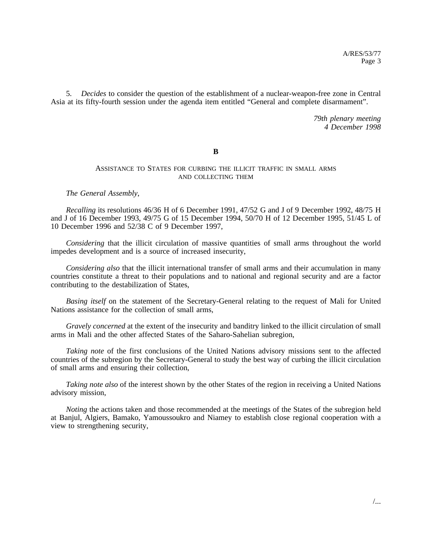5. *Decides* to consider the question of the establishment of a nuclear-weapon-free zone in Central Asia at its fifty-fourth session under the agenda item entitled "General and complete disarmament".

> *79th plenary meeting 4 December 1998*

#### **B**

### ASSISTANCE TO STATES FOR CURBING THE ILLICIT TRAFFIC IN SMALL ARMS AND COLLECTING THEM

*The General Assembly*,

*Recalling* its resolutions 46/36 H of 6 December 1991, 47/52 G and J of 9 December 1992, 48/75 H and J of 16 December 1993, 49/75 G of 15 December 1994, 50/70 H of 12 December 1995, 51/45 L of 10 December 1996 and 52/38 C of 9 December 1997,

*Considering* that the illicit circulation of massive quantities of small arms throughout the world impedes development and is a source of increased insecurity,

*Considering also* that the illicit international transfer of small arms and their accumulation in many countries constitute a threat to their populations and to national and regional security and are a factor contributing to the destabilization of States,

*Basing itself* on the statement of the Secretary-General relating to the request of Mali for United Nations assistance for the collection of small arms,

*Gravely concerned* at the extent of the insecurity and banditry linked to the illicit circulation of small arms in Mali and the other affected States of the Saharo-Sahelian subregion,

*Taking note* of the first conclusions of the United Nations advisory missions sent to the affected countries of the subregion by the Secretary-General to study the best way of curbing the illicit circulation of small arms and ensuring their collection,

*Taking note also* of the interest shown by the other States of the region in receiving a United Nations advisory mission,

*Noting* the actions taken and those recommended at the meetings of the States of the subregion held at Banjul, Algiers, Bamako, Yamoussoukro and Niamey to establish close regional cooperation with a view to strengthening security,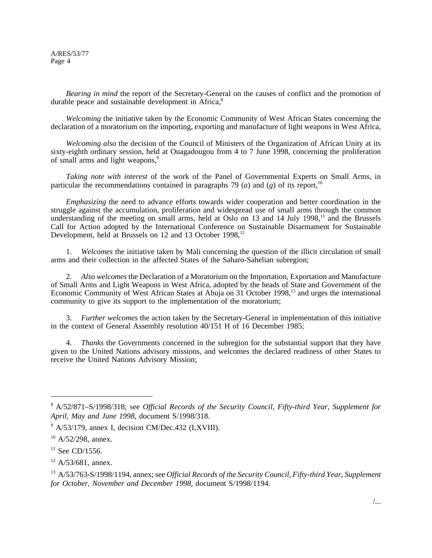*Bearing in mind* the report of the Secretary-General on the causes of conflict and the promotion of durable peace and sustainable development in Africa,<sup>8</sup>

*Welcoming* the initiative taken by the Economic Community of West African States concerning the declaration of a moratorium on the importing, exporting and manufacture of light weapons in West Africa,

*Welcoming also* the decision of the Council of Ministers of the Organization of African Unity at its sixty-eighth ordinary session, held at Ouagadougou from 4 to 7 June 1998, concerning the proliferation of small arms and light weapons.<sup>9</sup>

*Taking note with interest* of the work of the Panel of Governmental Experts on Small Arms, in particular the recommendations contained in paragraphs 79 (*a*) and (*g*) of its report,<sup>10</sup>

*Emphasizing* the need to advance efforts towards wider cooperation and better coordination in the struggle against the accumulation, proliferation and widespread use of small arms through the common understanding of the meeting on small arms, held at Oslo on 13 and 14 July  $1998<sup>11</sup>$  and the Brussels Call for Action adopted by the International Conference on Sustainable Disarmament for Sustainable Development, held at Brussels on 12 and 13 October 1998,<sup>12</sup>

1. *Welcomes* the initiative taken by Mali concerning the question of the illicit circulation of small arms and their collection in the affected States of the Saharo-Sahelian subregion;

2. *Also welcomes* the Declaration of a Moratorium on the Importation, Exportation and Manufacture of Small Arms and Light Weapons in West Africa, adopted by the heads of State and Government of the Economic Community of West African States at Abuja on 31 October 1998,<sup>13</sup> and urges the international community to give its support to the implementation of the moratorium;

3. *Further welcomes* the action taken by the Secretary-General in implementation of this initiative in the context of General Assembly resolution 40/151 H of 16 December 1985;

4. *Thanks* the Governments concerned in the subregion for the substantial support that they have given to the United Nations advisory missions, and welcomes the declared readiness of other States to receive the United Nations Advisory Mission;

<sup>8</sup> A/52/871–S/1998/318; see *Official Records of the Security Council, Fifty-third Year, Supplement for April, May and June 1998*, document S/1998/318.

 $9$  A/53/179, annex I, decision CM/Dec.432 (LXVIII).

 $10$  A/52/298, annex.

 $11$  See CD/1556.

 $12$  A/53/681, annex.

<sup>13</sup> A/53/763-S/1998/1194, annex; see *Official Records of the Security Council, Fifty-third Year, Supplement for October, November and December 1998*, document S/1998/1194.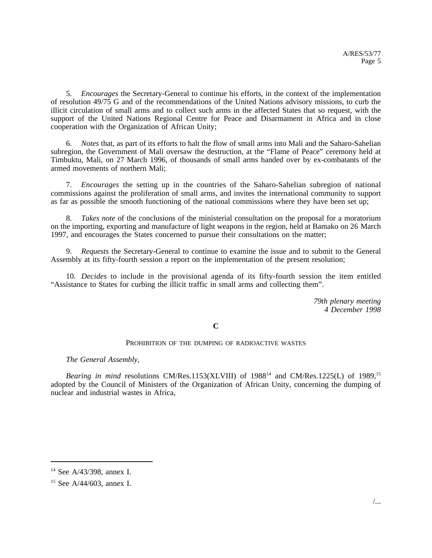5. *Encourages* the Secretary-General to continue his efforts, in the context of the implementation of resolution 49/75 G and of the recommendations of the United Nations advisory missions, to curb the illicit circulation of small arms and to collect such arms in the affected States that so request, with the support of the United Nations Regional Centre for Peace and Disarmament in Africa and in close cooperation with the Organization of African Unity;

6. *Notes* that, as part of its efforts to halt the flow of small arms into Mali and the Saharo-Sahelian subregion, the Government of Mali oversaw the destruction, at the "Flame of Peace" ceremony held at Timbuktu, Mali, on 27 March 1996, of thousands of small arms handed over by ex-combatants of the armed movements of northern Mali;

7. *Encourages* the setting up in the countries of the Saharo-Sahelian subregion of national commissions against the proliferation of small arms, and invites the international community to support as far as possible the smooth functioning of the national commissions where they have been set up;

8. *Takes note* of the conclusions of the ministerial consultation on the proposal for a moratorium on the importing, exporting and manufacture of light weapons in the region, held at Bamako on 26 March 1997, and encourages the States concerned to pursue their consultations on the matter;

9. *Requests* the Secretary-General to continue to examine the issue and to submit to the General Assembly at its fifty-fourth session a report on the implementation of the present resolution;

10. *Decides* to include in the provisional agenda of its fifty-fourth session the item entitled "Assistance to States for curbing the illicit traffic in small arms and collecting them".

> *79th plenary meeting 4 December 1998*

**C**

## PROHIBITION OF THE DUMPING OF RADIOACTIVE WASTES

*The General Assembly*,

*Bearing in mind* resolutions CM/Res.1153(XLVIII) of  $1988^{14}$  and CM/Res.1225(L) of  $1989$ ,<sup>15</sup> adopted by the Council of Ministers of the Organization of African Unity, concerning the dumping of nuclear and industrial wastes in Africa,

<sup>&</sup>lt;sup>14</sup> See A/43/398, annex I.

<sup>15</sup> See A/44/603, annex I.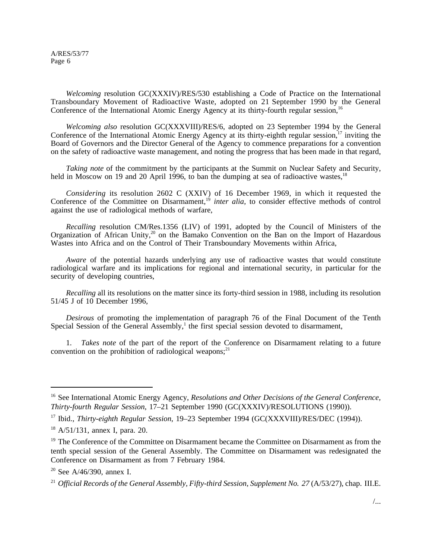*Welcoming* resolution GC(XXXIV)/RES/530 establishing a Code of Practice on the International Transboundary Movement of Radioactive Waste, adopted on 21 September 1990 by the General Conference of the International Atomic Energy Agency at its thirty-fourth regular session,<sup>16</sup>

*Welcoming also* resolution GC(XXXVIII)/RES/6, adopted on 23 September 1994 by the General Conference of the International Atomic Energy Agency at its thirty-eighth regular session,<sup>17</sup> inviting the Board of Governors and the Director General of the Agency to commence preparations for a convention on the safety of radioactive waste management, and noting the progress that has been made in that regard,

*Taking note* of the commitment by the participants at the Summit on Nuclear Safety and Security, held in Moscow on 19 and 20 April 1996, to ban the dumping at sea of radioactive wastes.<sup>18</sup>

*Considering* its resolution 2602 C (XXIV) of 16 December 1969, in which it requested the Conference of the Committee on Disarmament,<sup>19</sup> *inter alia*, to consider effective methods of control against the use of radiological methods of warfare,

*Recalling* resolution CM/Res.1356 (LIV) of 1991, adopted by the Council of Ministers of the Organization of African Unity,<sup>20</sup> on the Bamako Convention on the Ban on the Import of Hazardous Wastes into Africa and on the Control of Their Transboundary Movements within Africa,

*Aware* of the potential hazards underlying any use of radioactive wastes that would constitute radiological warfare and its implications for regional and international security, in particular for the security of developing countries.

*Recalling* all its resolutions on the matter since its forty-third session in 1988, including its resolution 51/45 J of 10 December 1996,

*Desirous* of promoting the implementation of paragraph 76 of the Final Document of the Tenth Special Session of the General Assembly, $\frac{1}{1}$  the first special session devoted to disarmament,

1. *Takes note* of the part of the report of the Conference on Disarmament relating to a future convention on the prohibition of radiological weapons;<sup>21</sup>

<sup>16</sup> See International Atomic Energy Agency, *Resolutions and Other Decisions of the General Conference, Thirty-fourth Regular Session*, 17–21 September 1990 (GC(XXXIV)/RESOLUTIONS (1990)).

<sup>17</sup> Ibid., *Thirty-eighth Regular Session*, 19–23 September 1994 (GC(XXXVIII)/RES/DEC (1994)).

<sup>18</sup> A/51/131, annex I, para. 20.

<sup>&</sup>lt;sup>19</sup> The Conference of the Committee on Disarmament became the Committee on Disarmament as from the tenth special session of the General Assembly. The Committee on Disarmament was redesignated the Conference on Disarmament as from 7 February 1984.

 $20$  See A/46/390, annex I.

<sup>&</sup>lt;sup>21</sup> *Official Records of the General Assembly, Fifty-third Session, Supplement No. 27 (A/53/27), chap. III.E.*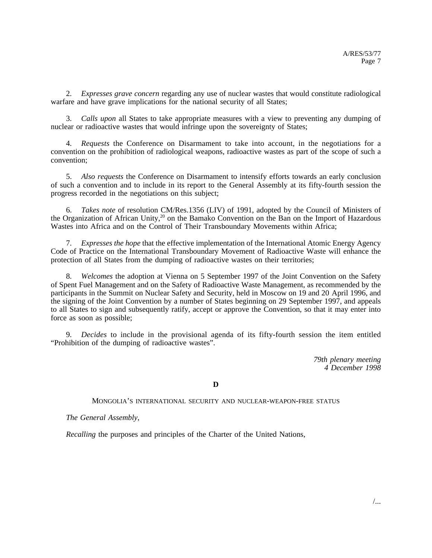2. *Expresses grave concern* regarding any use of nuclear wastes that would constitute radiological warfare and have grave implications for the national security of all States;

3. *Calls upon* all States to take appropriate measures with a view to preventing any dumping of nuclear or radioactive wastes that would infringe upon the sovereignty of States;

4. *Requests* the Conference on Disarmament to take into account, in the negotiations for a convention on the prohibition of radiological weapons, radioactive wastes as part of the scope of such a convention;

5. *Also requests* the Conference on Disarmament to intensify efforts towards an early conclusion of such a convention and to include in its report to the General Assembly at its fifty-fourth session the progress recorded in the negotiations on this subject;

6. *Takes note* of resolution CM/Res.1356 (LIV) of 1991, adopted by the Council of Ministers of the Organization of African Unity,<sup>20</sup> on the Bamako Convention on the Ban on the Import of Hazardous Wastes into Africa and on the Control of Their Transboundary Movements within Africa;

7. *Expresses the hope* that the effective implementation of the International Atomic Energy Agency Code of Practice on the International Transboundary Movement of Radioactive Waste will enhance the protection of all States from the dumping of radioactive wastes on their territories;

8. *Welcomes* the adoption at Vienna on 5 September 1997 of the Joint Convention on the Safety of Spent Fuel Management and on the Safety of Radioactive Waste Management, as recommended by the participants in the Summit on Nuclear Safety and Security, held in Moscow on 19 and 20 April 1996, and the signing of the Joint Convention by a number of States beginning on 29 September 1997, and appeals to all States to sign and subsequently ratify, accept or approve the Convention, so that it may enter into force as soon as possible;

9. *Decides* to include in the provisional agenda of its fifty-fourth session the item entitled "Prohibition of the dumping of radioactive wastes".

> *79th plenary meeting 4 December 1998*

**D**

MONGOLIA'S INTERNATIONAL SECURITY AND NUCLEAR-WEAPON-FREE STATUS

*The General Assembly*,

*Recalling* the purposes and principles of the Charter of the United Nations,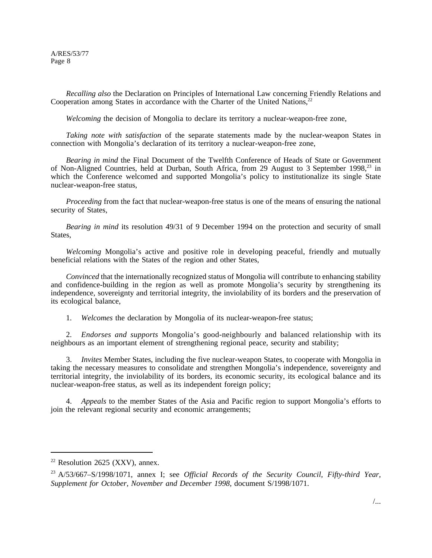*Recalling also* the Declaration on Principles of International Law concerning Friendly Relations and Cooperation among States in accordance with the Charter of the United Nations,<sup>22</sup>

*Welcoming* the decision of Mongolia to declare its territory a nuclear-weapon-free zone,

*Taking note with satisfaction* of the separate statements made by the nuclear-weapon States in connection with Mongolia's declaration of its territory a nuclear-weapon-free zone,

*Bearing in mind* the Final Document of the Twelfth Conference of Heads of State or Government of Non-Aligned Countries, held at Durban, South Africa, from 29 August to 3 September 1998,<sup>23</sup> in which the Conference welcomed and supported Mongolia's policy to institutionalize its single State nuclear-weapon-free status,

*Proceeding* from the fact that nuclear-weapon-free status is one of the means of ensuring the national security of States,

*Bearing in mind* its resolution 49/31 of 9 December 1994 on the protection and security of small States,

*Welcoming* Mongolia's active and positive role in developing peaceful, friendly and mutually beneficial relations with the States of the region and other States,

*Convinced* that the internationally recognized status of Mongolia will contribute to enhancing stability and confidence-building in the region as well as promote Mongolia's security by strengthening its independence, sovereignty and territorial integrity, the inviolability of its borders and the preservation of its ecological balance,

1. *Welcomes* the declaration by Mongolia of its nuclear-weapon-free status;

2. *Endorses and supports* Mongolia's good-neighbourly and balanced relationship with its neighbours as an important element of strengthening regional peace, security and stability;

3. *Invites* Member States, including the five nuclear-weapon States, to cooperate with Mongolia in taking the necessary measures to consolidate and strengthen Mongolia's independence, sovereignty and territorial integrity, the inviolability of its borders, its economic security, its ecological balance and its nuclear-weapon-free status, as well as its independent foreign policy;

4. *Appeals* to the member States of the Asia and Pacific region to support Mongolia's efforts to join the relevant regional security and economic arrangements;

<sup>&</sup>lt;sup>22</sup> Resolution 2625 (XXV), annex.

<sup>23</sup> A/53/667–S/1998/1071, annex I; see *Official Records of the Security Council, Fifty-third Year, Supplement for October, November and December 1998*, document S/1998/1071.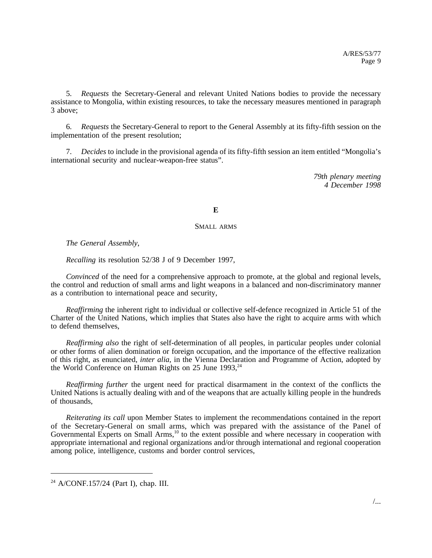5. *Requests* the Secretary-General and relevant United Nations bodies to provide the necessary assistance to Mongolia, within existing resources, to take the necessary measures mentioned in paragraph 3 above;

6. *Requests* the Secretary-General to report to the General Assembly at its fifty-fifth session on the implementation of the present resolution;

7. *Decides* to include in the provisional agenda of its fifty-fifth session an item entitled "Mongolia's international security and nuclear-weapon-free status".

> *79th plenary meeting 4 December 1998*

**E**

#### SMALL ARMS

*The General Assembly*,

*Recalling* its resolution 52/38 J of 9 December 1997,

*Convinced* of the need for a comprehensive approach to promote, at the global and regional levels, the control and reduction of small arms and light weapons in a balanced and non-discriminatory manner as a contribution to international peace and security,

*Reaffirming* the inherent right to individual or collective self-defence recognized in Article 51 of the Charter of the United Nations, which implies that States also have the right to acquire arms with which to defend themselves,

*Reaffirming also* the right of self-determination of all peoples, in particular peoples under colonial or other forms of alien domination or foreign occupation, and the importance of the effective realization of this right, as enunciated, *inter alia*, in the Vienna Declaration and Programme of Action, adopted by the World Conference on Human Rights on 25 June  $1993$ ,  $^{24}$ 

*Reaffirming further* the urgent need for practical disarmament in the context of the conflicts the United Nations is actually dealing with and of the weapons that are actually killing people in the hundreds of thousands,

*Reiterating its call* upon Member States to implement the recommendations contained in the report of the Secretary-General on small arms, which was prepared with the assistance of the Panel of Governmental Experts on Small Arms,<sup>10</sup> to the extent possible and where necessary in cooperation with appropriate international and regional organizations and/or through international and regional cooperation among police, intelligence, customs and border control services,

 $24$  A/CONF.157/24 (Part I), chap. III.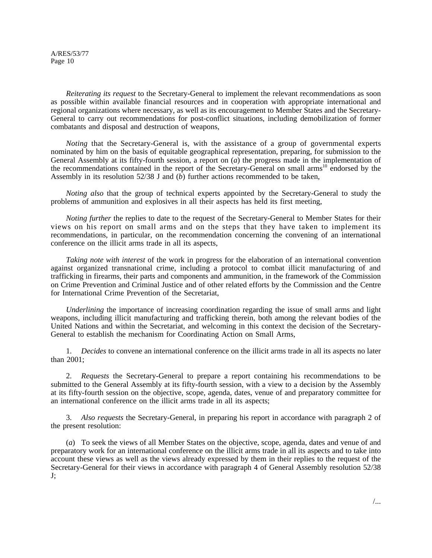*Reiterating its request* to the Secretary-General to implement the relevant recommendations as soon as possible within available financial resources and in cooperation with appropriate international and regional organizations where necessary, as well as its encouragement to Member States and the Secretary-General to carry out recommendations for post-conflict situations, including demobilization of former combatants and disposal and destruction of weapons,

*Noting* that the Secretary-General is, with the assistance of a group of governmental experts nominated by him on the basis of equitable geographical representation, preparing, for submission to the General Assembly at its fifty-fourth session, a report on (*a*) the progress made in the implementation of the recommendations contained in the report of the Secretary-General on small arms<sup>10</sup> endorsed by the Assembly in its resolution 52/38 J and (*b*) further actions recommended to be taken,

*Noting also* that the group of technical experts appointed by the Secretary-General to study the problems of ammunition and explosives in all their aspects has held its first meeting,

*Noting further* the replies to date to the request of the Secretary-General to Member States for their views on his report on small arms and on the steps that they have taken to implement its recommendations, in particular, on the recommendation concerning the convening of an international conference on the illicit arms trade in all its aspects,

*Taking note with interest* of the work in progress for the elaboration of an international convention against organized transnational crime, including a protocol to combat illicit manufacturing of and trafficking in firearms, their parts and components and ammunition, in the framework of the Commission on Crime Prevention and Criminal Justice and of other related efforts by the Commission and the Centre for International Crime Prevention of the Secretariat,

*Underlining* the importance of increasing coordination regarding the issue of small arms and light weapons, including illicit manufacturing and trafficking therein, both among the relevant bodies of the United Nations and within the Secretariat, and welcoming in this context the decision of the Secretary-General to establish the mechanism for Coordinating Action on Small Arms,

1. *Decides* to convene an international conference on the illicit arms trade in all its aspects no later than 2001;

2. *Requests* the Secretary-General to prepare a report containing his recommendations to be submitted to the General Assembly at its fifty-fourth session, with a view to a decision by the Assembly at its fifty-fourth session on the objective, scope, agenda, dates, venue of and preparatory committee for an international conference on the illicit arms trade in all its aspects;

3. *Also requests* the Secretary-General, in preparing his report in accordance with paragraph 2 of the present resolution:

(*a*) To seek the views of all Member States on the objective, scope, agenda, dates and venue of and preparatory work for an international conference on the illicit arms trade in all its aspects and to take into account these views as well as the views already expressed by them in their replies to the request of the Secretary-General for their views in accordance with paragraph 4 of General Assembly resolution 52/38 J;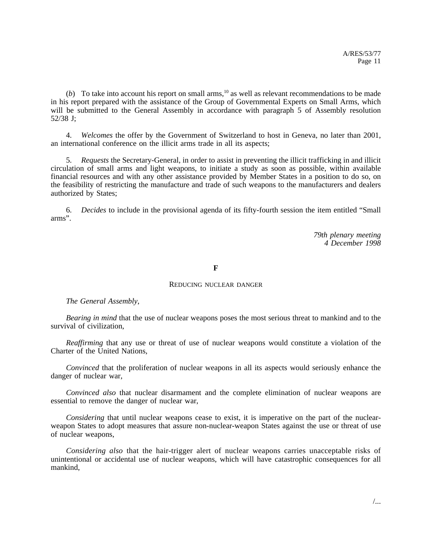(*b*) To take into account his report on small arms,<sup>10</sup> as well as relevant recommendations to be made in his report prepared with the assistance of the Group of Governmental Experts on Small Arms, which will be submitted to the General Assembly in accordance with paragraph 5 of Assembly resolution 52/38 J;

4. *Welcomes* the offer by the Government of Switzerland to host in Geneva, no later than 2001, an international conference on the illicit arms trade in all its aspects;

5. *Requests* the Secretary-General, in order to assist in preventing the illicit trafficking in and illicit circulation of small arms and light weapons, to initiate a study as soon as possible, within available financial resources and with any other assistance provided by Member States in a position to do so, on the feasibility of restricting the manufacture and trade of such weapons to the manufacturers and dealers authorized by States;

6. *Decides* to include in the provisional agenda of its fifty-fourth session the item entitled "Small arms".

> *79th plenary meeting 4 December 1998*

**F**

#### REDUCING NUCLEAR DANGER

*The General Assembly*,

*Bearing in mind* that the use of nuclear weapons poses the most serious threat to mankind and to the survival of civilization,

*Reaffirming* that any use or threat of use of nuclear weapons would constitute a violation of the Charter of the United Nations,

*Convinced* that the proliferation of nuclear weapons in all its aspects would seriously enhance the danger of nuclear war,

*Convinced also* that nuclear disarmament and the complete elimination of nuclear weapons are essential to remove the danger of nuclear war,

*Considering* that until nuclear weapons cease to exist, it is imperative on the part of the nuclearweapon States to adopt measures that assure non-nuclear-weapon States against the use or threat of use of nuclear weapons,

*Considering also* that the hair-trigger alert of nuclear weapons carries unacceptable risks of unintentional or accidental use of nuclear weapons, which will have catastrophic consequences for all mankind,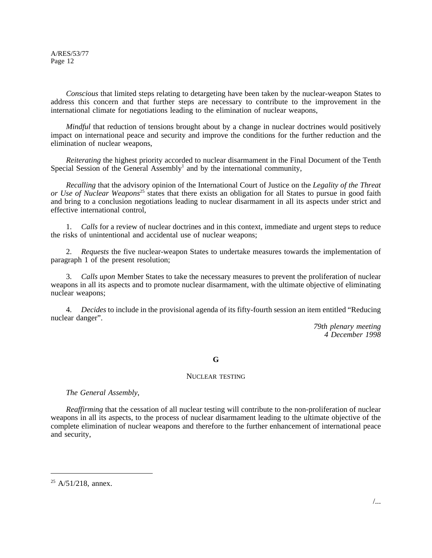*Conscious* that limited steps relating to detargeting have been taken by the nuclear-weapon States to address this concern and that further steps are necessary to contribute to the improvement in the international climate for negotiations leading to the elimination of nuclear weapons,

*Mindful* that reduction of tensions brought about by a change in nuclear doctrines would positively impact on international peace and security and improve the conditions for the further reduction and the elimination of nuclear weapons,

*Reiterating* the highest priority accorded to nuclear disarmament in the Final Document of the Tenth Special Session of the General Assembly<sup>1</sup> and by the international community,

*Recalling* that the advisory opinion of the International Court of Justice on the *Legality of the Threat or Use of Nuclear Weapons*<sup>25</sup> states that there exists an obligation for all States to pursue in good faith and bring to a conclusion negotiations leading to nuclear disarmament in all its aspects under strict and effective international control,

1. *Calls* for a review of nuclear doctrines and in this context, immediate and urgent steps to reduce the risks of unintentional and accidental use of nuclear weapons;

2. *Requests* the five nuclear-weapon States to undertake measures towards the implementation of paragraph 1 of the present resolution;

3. *Calls upon* Member States to take the necessary measures to prevent the proliferation of nuclear weapons in all its aspects and to promote nuclear disarmament, with the ultimate objective of eliminating nuclear weapons;

4. *Decides* to include in the provisional agenda of its fifty-fourth session an item entitled "Reducing nuclear danger".

> *79th plenary meeting 4 December 1998*

**G**

## NUCLEAR TESTING

*The General Assembly*,

*Reaffirming* that the cessation of all nuclear testing will contribute to the non-proliferation of nuclear weapons in all its aspects, to the process of nuclear disarmament leading to the ultimate objective of the complete elimination of nuclear weapons and therefore to the further enhancement of international peace and security,

 $25$  A/51/218, annex.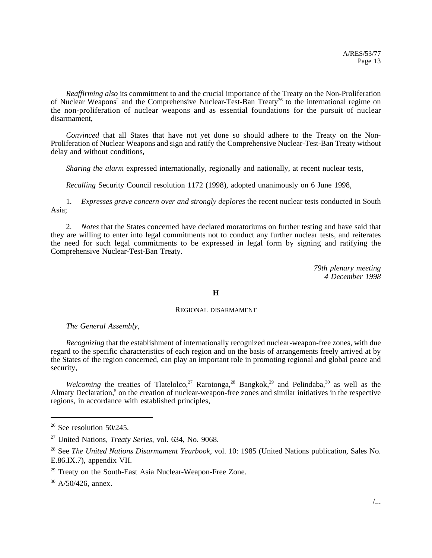*Reaffirming also* its commitment to and the crucial importance of the Treaty on the Non-Proliferation of Nuclear Weapons<sup>2</sup> and the Comprehensive Nuclear-Test-Ban Treaty<sup>26</sup> to the international regime on the non-proliferation of nuclear weapons and as essential foundations for the pursuit of nuclear disarmament,

*Convinced* that all States that have not yet done so should adhere to the Treaty on the Non-Proliferation of Nuclear Weapons and sign and ratify the Comprehensive Nuclear-Test-Ban Treaty without delay and without conditions,

*Sharing the alarm* expressed internationally, regionally and nationally, at recent nuclear tests,

*Recalling* Security Council resolution 1172 (1998), adopted unanimously on 6 June 1998,

1. *Expresses grave concern over and strongly deplores* the recent nuclear tests conducted in South Asia;

2. *Notes* that the States concerned have declared moratoriums on further testing and have said that they are willing to enter into legal commitments not to conduct any further nuclear tests, and reiterates the need for such legal commitments to be expressed in legal form by signing and ratifying the Comprehensive Nuclear-Test-Ban Treaty.

> *79th plenary meeting 4 December 1998*

## **H**

## REGIONAL DISARMAMENT

*The General Assembly*,

*Recognizing* that the establishment of internationally recognized nuclear-weapon-free zones, with due regard to the specific characteristics of each region and on the basis of arrangements freely arrived at by the States of the region concerned, can play an important role in promoting regional and global peace and security,

*Welcoming* the treaties of Tlatelolco,<sup>27</sup> Rarotonga,<sup>28</sup> Bangkok,<sup>29</sup> and Pelindaba,<sup>30</sup> as well as the Almaty Declaration,<sup>5</sup> on the creation of nuclear-weapon-free zones and similar initiatives in the respective regions, in accordance with established principles,

<sup>&</sup>lt;sup>26</sup> See resolution  $50/245$ .

<sup>27</sup> United Nations, *Treaty Series*, vol. 634, No. 9068.

<sup>28</sup> See *The United Nations Disarmament Yearbook*, vol. 10: 1985 (United Nations publication, Sales No. E.86.IX.7), appendix VII.

<sup>&</sup>lt;sup>29</sup> Treaty on the South-East Asia Nuclear-Weapon-Free Zone.

 $30$  A/50/426, annex.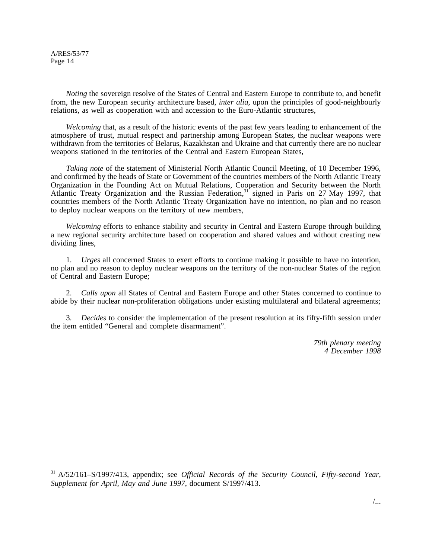*Noting* the sovereign resolve of the States of Central and Eastern Europe to contribute to, and benefit from, the new European security architecture based, *inter alia*, upon the principles of good-neighbourly relations, as well as cooperation with and accession to the Euro-Atlantic structures,

*Welcoming* that, as a result of the historic events of the past few years leading to enhancement of the atmosphere of trust, mutual respect and partnership among European States, the nuclear weapons were withdrawn from the territories of Belarus, Kazakhstan and Ukraine and that currently there are no nuclear weapons stationed in the territories of the Central and Eastern European States,

*Taking note* of the statement of Ministerial North Atlantic Council Meeting, of 10 December 1996, and confirmed by the heads of State or Government of the countries members of the North Atlantic Treaty Organization in the Founding Act on Mutual Relations, Cooperation and Security between the North Atlantic Treaty Organization and the Russian Federation,<sup>31</sup> signed in Paris on 27 May 1997, that countries members of the North Atlantic Treaty Organization have no intention, no plan and no reason to deploy nuclear weapons on the territory of new members,

*Welcoming* efforts to enhance stability and security in Central and Eastern Europe through building a new regional security architecture based on cooperation and shared values and without creating new dividing lines,

1. *Urges* all concerned States to exert efforts to continue making it possible to have no intention, no plan and no reason to deploy nuclear weapons on the territory of the non-nuclear States of the region of Central and Eastern Europe;

2. *Calls upon* all States of Central and Eastern Europe and other States concerned to continue to abide by their nuclear non-proliferation obligations under existing multilateral and bilateral agreements;

3. *Decides* to consider the implementation of the present resolution at its fifty-fifth session under the item entitled "General and complete disarmament".

> *79th plenary meeting 4 December 1998*

<sup>31</sup> A/52/161–S/1997/413, appendix; see *Official Records of the Security Council, Fifty-second Year, Supplement for April, May and June 1997*, document S/1997/413.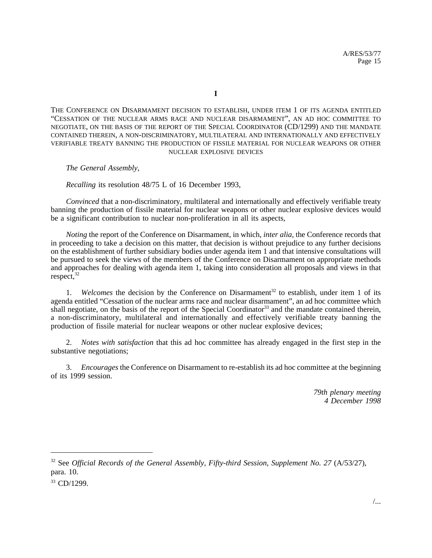**I**

THE CONFERENCE ON DISARMAMENT DECISION TO ESTABLISH, UNDER ITEM 1 OF ITS AGENDA ENTITLED "CESSATION OF THE NUCLEAR ARMS RACE AND NUCLEAR DISARMAMENT", AN AD HOC COMMITTEE TO NEGOTIATE, ON THE BASIS OF THE REPORT OF THE SPECIAL COORDINATOR (CD/1299) AND THE MANDATE CONTAINED THEREIN, A NON-DISCRIMINATORY, MULTILATERAL AND INTERNATIONALLY AND EFFECTIVELY VERIFIABLE TREATY BANNING THE PRODUCTION OF FISSILE MATERIAL FOR NUCLEAR WEAPONS OR OTHER NUCLEAR EXPLOSIVE DEVICES

*The General Assembly*,

*Recalling* its resolution 48/75 L of 16 December 1993,

*Convinced* that a non-discriminatory, multilateral and internationally and effectively verifiable treaty banning the production of fissile material for nuclear weapons or other nuclear explosive devices would be a significant contribution to nuclear non-proliferation in all its aspects,

*Noting* the report of the Conference on Disarmament, in which, *inter alia*, the Conference records that in proceeding to take a decision on this matter, that decision is without prejudice to any further decisions on the establishment of further subsidiary bodies under agenda item 1 and that intensive consultations will be pursued to seek the views of the members of the Conference on Disarmament on appropriate methods and approaches for dealing with agenda item 1, taking into consideration all proposals and views in that respect, $32$ 

1. *Welcomes* the decision by the Conference on Disarmament<sup>32</sup> to establish, under item 1 of its agenda entitled "Cessation of the nuclear arms race and nuclear disarmament", an ad hoc committee which shall negotiate, on the basis of the report of the Special Coordinator<sup>33</sup> and the mandate contained therein, a non-discriminatory, multilateral and internationally and effectively verifiable treaty banning the production of fissile material for nuclear weapons or other nuclear explosive devices;

2. *Notes with satisfaction* that this ad hoc committee has already engaged in the first step in the substantive negotiations;

3. *Encourages* the Conference on Disarmament to re-establish its ad hoc committee at the beginning of its 1999 session.

> *79th plenary meeting 4 December 1998*

<sup>&</sup>lt;sup>32</sup> See *Official Records of the General Assembly, Fifty-third Session, Supplement No. 27 (A/53/27),* para. 10.

<sup>&</sup>lt;sup>33</sup> CD/1299.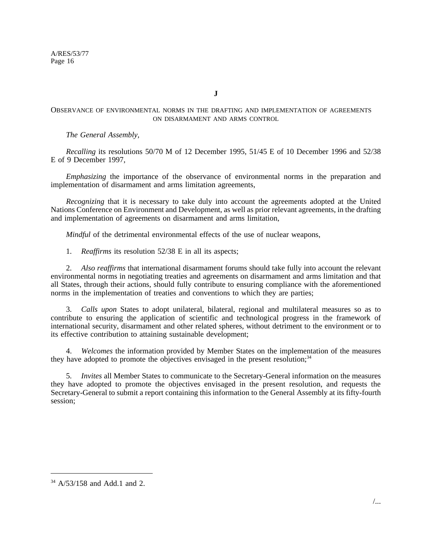## **J**

## OBSERVANCE OF ENVIRONMENTAL NORMS IN THE DRAFTING AND IMPLEMENTATION OF AGREEMENTS ON DISARMAMENT AND ARMS CONTROL

*The General Assembly,*

*Recalling* its resolutions 50/70 M of 12 December 1995, 51/45 E of 10 December 1996 and 52/38 E of 9 December 1997,

*Emphasizing* the importance of the observance of environmental norms in the preparation and implementation of disarmament and arms limitation agreements,

*Recognizing* that it is necessary to take duly into account the agreements adopted at the United Nations Conference on Environment and Development, as well as prior relevant agreements, in the drafting and implementation of agreements on disarmament and arms limitation,

*Mindful* of the detrimental environmental effects of the use of nuclear weapons,

1. *Reaffirms* its resolution 52/38 E in all its aspects;

2. *Also reaffirms* that international disarmament forums should take fully into account the relevant environmental norms in negotiating treaties and agreements on disarmament and arms limitation and that all States, through their actions, should fully contribute to ensuring compliance with the aforementioned norms in the implementation of treaties and conventions to which they are parties;

3. *Calls upon* States to adopt unilateral, bilateral, regional and multilateral measures so as to contribute to ensuring the application of scientific and technological progress in the framework of international security, disarmament and other related spheres, without detriment to the environment or to its effective contribution to attaining sustainable development;

4. *Welcomes* the information provided by Member States on the implementation of the measures they have adopted to promote the objectives envisaged in the present resolution;<sup>34</sup>

5. *Invites* all Member States to communicate to the Secretary-General information on the measures they have adopted to promote the objectives envisaged in the present resolution, and requests the Secretary-General to submit a report containing this information to the General Assembly at its fifty-fourth session:

<sup>34</sup> A/53/158 and Add.1 and 2.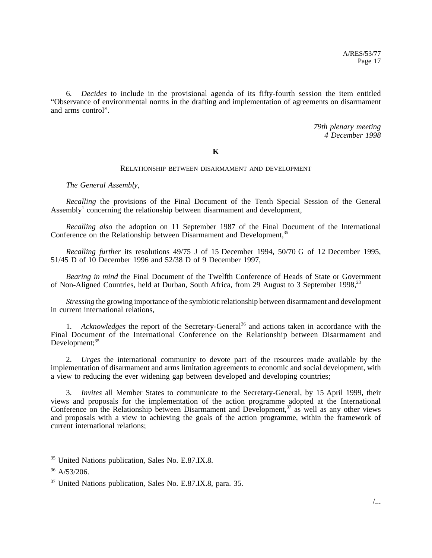6. *Decides* to include in the provisional agenda of its fifty-fourth session the item entitled "Observance of environmental norms in the drafting and implementation of agreements on disarmament and arms control".

> *79th plenary meeting 4 December 1998*

## **K**

## RELATIONSHIP BETWEEN DISARMAMENT AND DEVELOPMENT

*The General Assembly*,

*Recalling* the provisions of the Final Document of the Tenth Special Session of the General Assembly<sup>1</sup> concerning the relationship between disarmament and development,

*Recalling also* the adoption on 11 September 1987 of the Final Document of the International Conference on the Relationship between Disarmament and Development,<sup>35</sup>

*Recalling further* its resolutions 49/75 J of 15 December 1994, 50/70 G of 12 December 1995, 51/45 D of 10 December 1996 and 52/38 D of 9 December 1997,

*Bearing in mind* the Final Document of the Twelfth Conference of Heads of State or Government of Non-Aligned Countries, held at Durban, South Africa, from 29 August to 3 September 1998,<sup>23</sup>

*Stressing* the growing importance of the symbiotic relationship between disarmament and development in current international relations,

1. *Acknowledges* the report of the Secretary-General<sup>36</sup> and actions taken in accordance with the Final Document of the International Conference on the Relationship between Disarmament and Development; $35$ 

2. *Urges* the international community to devote part of the resources made available by the implementation of disarmament and arms limitation agreements to economic and social development, with a view to reducing the ever widening gap between developed and developing countries;

3. *Invites* all Member States to communicate to the Secretary-General, by 15 April 1999, their views and proposals for the implementation of the action programme adopted at the International Conference on the Relationship between Disarmament and Development,<sup>37</sup> as well as any other views and proposals with a view to achieving the goals of the action programme, within the framework of current international relations;

<sup>&</sup>lt;sup>35</sup> United Nations publication, Sales No. E.87.IX.8.

<sup>36</sup> A/53/206.

<sup>37</sup> United Nations publication, Sales No. E.87.IX.8, para. 35.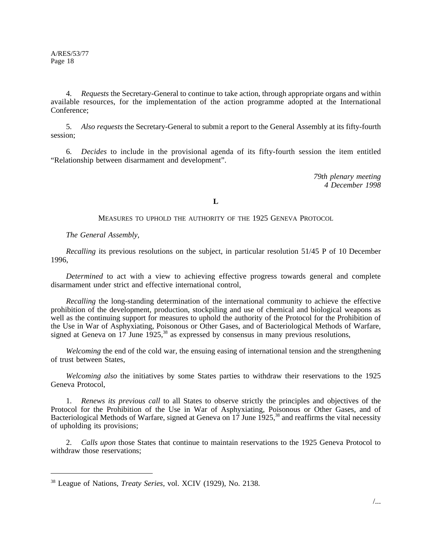4. *Requests* the Secretary-General to continue to take action, through appropriate organs and within available resources, for the implementation of the action programme adopted at the International Conference:

5. *Also requests* the Secretary-General to submit a report to the General Assembly at its fifty-fourth session;

6. *Decides* to include in the provisional agenda of its fifty-fourth session the item entitled "Relationship between disarmament and development".

> *79th plenary meeting 4 December 1998*

**L**

MEASURES TO UPHOLD THE AUTHORITY OF THE 1925 GENEVA PROTOCOL

*The General Assembly,*

*Recalling* its previous resolutions on the subject, in particular resolution 51/45 P of 10 December 1996,

*Determined* to act with a view to achieving effective progress towards general and complete disarmament under strict and effective international control,

*Recalling* the long-standing determination of the international community to achieve the effective prohibition of the development, production, stockpiling and use of chemical and biological weapons as well as the continuing support for measures to uphold the authority of the Protocol for the Prohibition of the Use in War of Asphyxiating, Poisonous or Other Gases, and of Bacteriological Methods of Warfare, signed at Geneva on  $17$  June  $1925$ ,<sup>38</sup> as expressed by consensus in many previous resolutions,

*Welcoming* the end of the cold war, the ensuing easing of international tension and the strengthening of trust between States,

*Welcoming also* the initiatives by some States parties to withdraw their reservations to the 1925 Geneva Protocol,

1. *Renews its previous call* to all States to observe strictly the principles and objectives of the Protocol for the Prohibition of the Use in War of Asphyxiating, Poisonous or Other Gases, and of Bacteriological Methods of Warfare, signed at Geneva on  $17$  June  $1925$ ,<sup>38</sup> and reaffirms the vital necessity of upholding its provisions;

2. *Calls upon* those States that continue to maintain reservations to the 1925 Geneva Protocol to withdraw those reservations;

<sup>38</sup> League of Nations, *Treaty Series*, vol. XCIV (1929), No. 2138.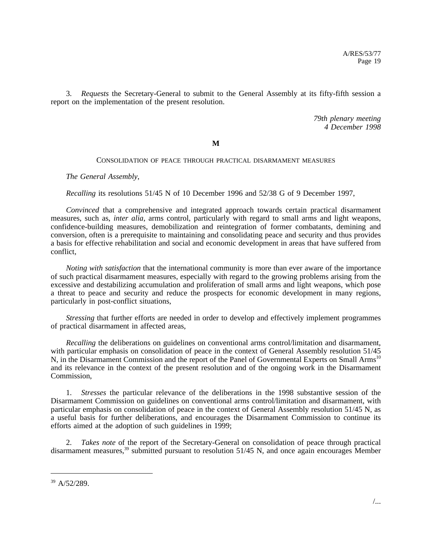3. *Requests* the Secretary-General to submit to the General Assembly at its fifty-fifth session a report on the implementation of the present resolution.

> *79th plenary meeting 4 December 1998*

#### **M**

#### CONSOLIDATION OF PEACE THROUGH PRACTICAL DISARMAMENT MEASURES

*The General Assembly*,

*Recalling* its resolutions 51/45 N of 10 December 1996 and 52/38 G of 9 December 1997,

*Convinced* that a comprehensive and integrated approach towards certain practical disarmament measures, such as, *inter alia*, arms control, particularly with regard to small arms and light weapons, confidence-building measures, demobilization and reintegration of former combatants, demining and conversion, often is a prerequisite to maintaining and consolidating peace and security and thus provides a basis for effective rehabilitation and social and economic development in areas that have suffered from conflict,

*Noting with satisfaction* that the international community is more than ever aware of the importance of such practical disarmament measures, especially with regard to the growing problems arising from the excessive and destabilizing accumulation and proliferation of small arms and light weapons, which pose a threat to peace and security and reduce the prospects for economic development in many regions, particularly in post-conflict situations,

*Stressing* that further efforts are needed in order to develop and effectively implement programmes of practical disarmament in affected areas,

*Recalling* the deliberations on guidelines on conventional arms control/limitation and disarmament, with particular emphasis on consolidation of peace in the context of General Assembly resolution 51/45 N, in the Disarmament Commission and the report of the Panel of Governmental Experts on Small Arms<sup>10</sup> and its relevance in the context of the present resolution and of the ongoing work in the Disarmament Commission,

1. *Stresses* the particular relevance of the deliberations in the 1998 substantive session of the Disarmament Commission on guidelines on conventional arms control/limitation and disarmament, with particular emphasis on consolidation of peace in the context of General Assembly resolution 51/45 N, as a useful basis for further deliberations, and encourages the Disarmament Commission to continue its efforts aimed at the adoption of such guidelines in 1999;

2. *Takes note* of the report of the Secretary-General on consolidation of peace through practical disarmament measures,<sup>39</sup> submitted pursuant to resolution 51/45 N, and once again encourages Member

<sup>39</sup> A/52/289.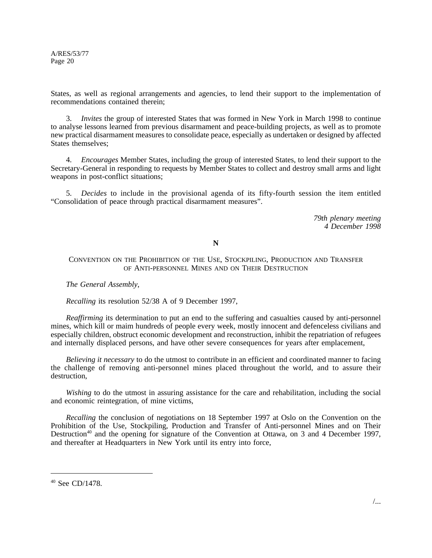States, as well as regional arrangements and agencies, to lend their support to the implementation of recommendations contained therein;

3. *Invites* the group of interested States that was formed in New York in March 1998 to continue to analyse lessons learned from previous disarmament and peace-building projects, as well as to promote new practical disarmament measures to consolidate peace, especially as undertaken or designed by affected States themselves:

4. *Encourages* Member States, including the group of interested States, to lend their support to the Secretary-General in responding to requests by Member States to collect and destroy small arms and light weapons in post-conflict situations;

5. *Decides* to include in the provisional agenda of its fifty-fourth session the item entitled "Consolidation of peace through practical disarmament measures".

> *79th plenary meeting 4 December 1998*

**N**

## CONVENTION ON THE PROHIBITION OF THE USE, STOCKPILING, PRODUCTION AND TRANSFER OF ANTI-PERSONNEL MINES AND ON THEIR DESTRUCTION

*The General Assembly*,

*Recalling* its resolution 52/38 A of 9 December 1997,

*Reaffirming* its determination to put an end to the suffering and casualties caused by anti-personnel mines, which kill or maim hundreds of people every week, mostly innocent and defenceless civilians and especially children, obstruct economic development and reconstruction, inhibit the repatriation of refugees and internally displaced persons, and have other severe consequences for years after emplacement,

*Believing it necessary* to do the utmost to contribute in an efficient and coordinated manner to facing the challenge of removing anti-personnel mines placed throughout the world, and to assure their destruction,

*Wishing* to do the utmost in assuring assistance for the care and rehabilitation, including the social and economic reintegration, of mine victims,

*Recalling* the conclusion of negotiations on 18 September 1997 at Oslo on the Convention on the Prohibition of the Use, Stockpiling, Production and Transfer of Anti-personnel Mines and on Their Destruction<sup>40</sup> and the opening for signature of the Convention at Ottawa, on 3 and 4 December 1997, and thereafter at Headquarters in New York until its entry into force,

<sup>40</sup> See CD/1478.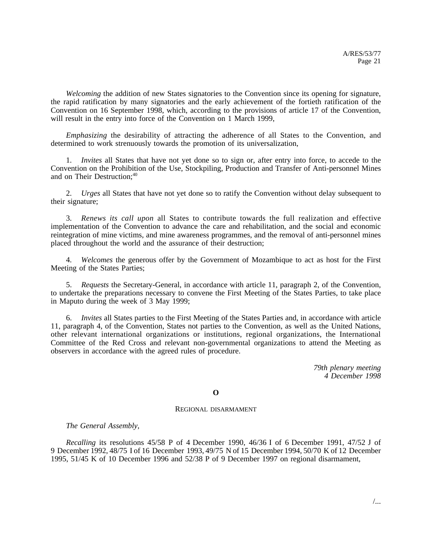*Welcoming* the addition of new States signatories to the Convention since its opening for signature, the rapid ratification by many signatories and the early achievement of the fortieth ratification of the Convention on 16 September 1998, which, according to the provisions of article 17 of the Convention, will result in the entry into force of the Convention on 1 March 1999,

*Emphasizing* the desirability of attracting the adherence of all States to the Convention, and determined to work strenuously towards the promotion of its universalization,

1. *Invites* all States that have not yet done so to sign or, after entry into force, to accede to the Convention on the Prohibition of the Use, Stockpiling, Production and Transfer of Anti-personnel Mines and on Their Destruction:<sup>40</sup>

2. *Urges* all States that have not yet done so to ratify the Convention without delay subsequent to their signature;

3. *Renews its call upon* all States to contribute towards the full realization and effective implementation of the Convention to advance the care and rehabilitation, and the social and economic reintegration of mine victims, and mine awareness programmes, and the removal of anti-personnel mines placed throughout the world and the assurance of their destruction;

4. *Welcomes* the generous offer by the Government of Mozambique to act as host for the First Meeting of the States Parties;

5. *Requests* the Secretary-General, in accordance with article 11, paragraph 2, of the Convention, to undertake the preparations necessary to convene the First Meeting of the States Parties, to take place in Maputo during the week of 3 May 1999;

6. *Invites* all States parties to the First Meeting of the States Parties and, in accordance with article 11, paragraph 4, of the Convention, States not parties to the Convention, as well as the United Nations, other relevant international organizations or institutions, regional organizations, the International Committee of the Red Cross and relevant non-governmental organizations to attend the Meeting as observers in accordance with the agreed rules of procedure.

> *79th plenary meeting 4 December 1998*

## **O**

#### REGIONAL DISARMAMENT

## *The General Assembly,*

*Recalling* its resolutions 45/58 P of 4 December 1990, 46/36 I of 6 December 1991, 47/52 J of 9 December 1992, 48/75 I of 16 December 1993, 49/75 N of 15 December 1994, 50/70 K of 12 December 1995, 51/45 K of 10 December 1996 and 52/38 P of 9 December 1997 on regional disarmament,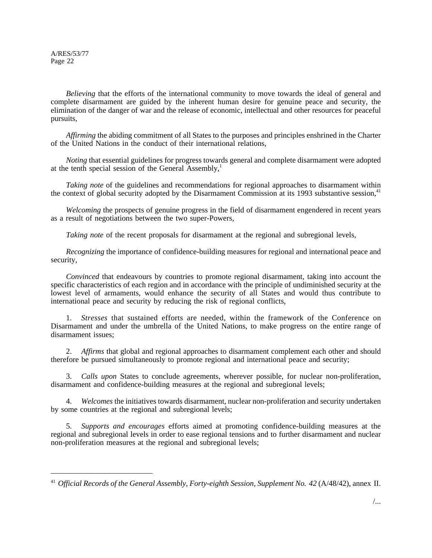*Believing* that the efforts of the international community to move towards the ideal of general and complete disarmament are guided by the inherent human desire for genuine peace and security, the elimination of the danger of war and the release of economic, intellectual and other resources for peaceful pursuits,

*Affirming* the abiding commitment of all States to the purposes and principles enshrined in the Charter of the United Nations in the conduct of their international relations,

*Noting* that essential guidelines for progress towards general and complete disarmament were adopted at the tenth special session of the General Assembly,<sup>1</sup>

*Taking note* of the guidelines and recommendations for regional approaches to disarmament within the context of global security adopted by the Disarmament Commission at its 1993 substantive session,<sup>41</sup>

*Welcoming* the prospects of genuine progress in the field of disarmament engendered in recent years as a result of negotiations between the two super-Powers,

*Taking note* of the recent proposals for disarmament at the regional and subregional levels,

*Recognizing* the importance of confidence-building measures for regional and international peace and security,

*Convinced* that endeavours by countries to promote regional disarmament, taking into account the specific characteristics of each region and in accordance with the principle of undiminished security at the lowest level of armaments, would enhance the security of all States and would thus contribute to international peace and security by reducing the risk of regional conflicts,

1. *Stresses* that sustained efforts are needed, within the framework of the Conference on Disarmament and under the umbrella of the United Nations, to make progress on the entire range of disarmament issues;

2. *Affirms* that global and regional approaches to disarmament complement each other and should therefore be pursued simultaneously to promote regional and international peace and security;

3. *Calls upon* States to conclude agreements, wherever possible, for nuclear non-proliferation, disarmament and confidence-building measures at the regional and subregional levels;

4. *Welcomes* the initiatives towards disarmament, nuclear non-proliferation and security undertaken by some countries at the regional and subregional levels;

5. *Supports and encourages* efforts aimed at promoting confidence-building measures at the regional and subregional levels in order to ease regional tensions and to further disarmament and nuclear non-proliferation measures at the regional and subregional levels;

<sup>&</sup>lt;sup>41</sup> *Official Records of the General Assembly, Forty-eighth Session, Supplement No. 42 (A/48/42), annex II.*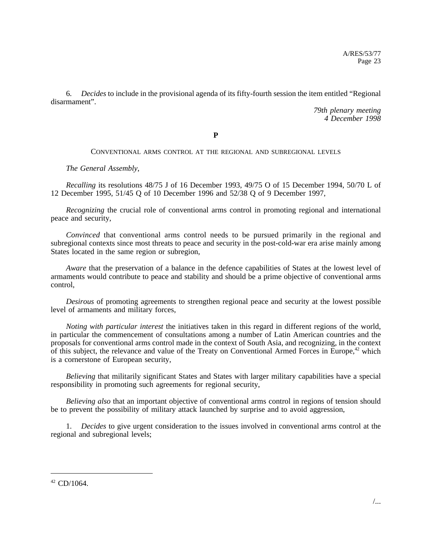6. *Decides* to include in the provisional agenda of its fifty-fourth session the item entitled "Regional disarmament".

> *79th plenary meeting 4 December 1998*

**P**

CONVENTIONAL ARMS CONTROL AT THE REGIONAL AND SUBREGIONAL LEVELS

*The General Assembly*,

*Recalling* its resolutions 48/75 J of 16 December 1993, 49/75 O of 15 December 1994, 50/70 L of 12 December 1995, 51/45 Q of 10 December 1996 and 52/38 Q of 9 December 1997,

*Recognizing* the crucial role of conventional arms control in promoting regional and international peace and security,

*Convinced* that conventional arms control needs to be pursued primarily in the regional and subregional contexts since most threats to peace and security in the post-cold-war era arise mainly among States located in the same region or subregion,

*Aware* that the preservation of a balance in the defence capabilities of States at the lowest level of armaments would contribute to peace and stability and should be a prime objective of conventional arms control,

*Desirous* of promoting agreements to strengthen regional peace and security at the lowest possible level of armaments and military forces,

*Noting with particular interest* the initiatives taken in this regard in different regions of the world, in particular the commencement of consultations among a number of Latin American countries and the proposals for conventional arms control made in the context of South Asia, and recognizing, in the context of this subject, the relevance and value of the Treaty on Conventional Armed Forces in Europe,<sup>42</sup> which is a cornerstone of European security,

*Believing* that militarily significant States and States with larger military capabilities have a special responsibility in promoting such agreements for regional security,

*Believing also* that an important objective of conventional arms control in regions of tension should be to prevent the possibility of military attack launched by surprise and to avoid aggression,

1. *Decides* to give urgent consideration to the issues involved in conventional arms control at the regional and subregional levels;

 $42$  CD/1064.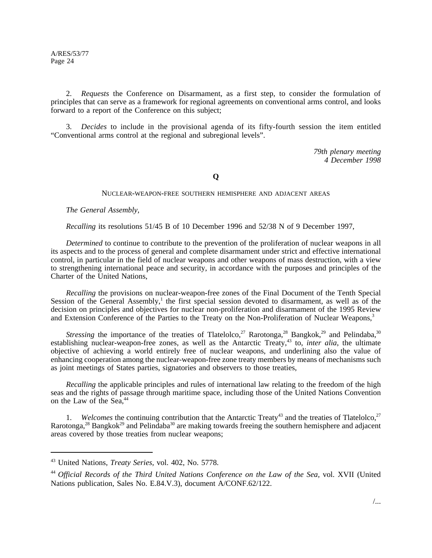2. *Requests* the Conference on Disarmament, as a first step, to consider the formulation of principles that can serve as a framework for regional agreements on conventional arms control, and looks forward to a report of the Conference on this subject;

3. *Decides* to include in the provisional agenda of its fifty-fourth session the item entitled "Conventional arms control at the regional and subregional levels".

> *79th plenary meeting 4 December 1998*

**Q**

#### NUCLEAR-WEAPON-FREE SOUTHERN HEMISPHERE AND ADJACENT AREAS

*The General Assembly,*

*Recalling* its resolutions 51/45 B of 10 December 1996 and 52/38 N of 9 December 1997,

*Determined* to continue to contribute to the prevention of the proliferation of nuclear weapons in all its aspects and to the process of general and complete disarmament under strict and effective international control, in particular in the field of nuclear weapons and other weapons of mass destruction, with a view to strengthening international peace and security, in accordance with the purposes and principles of the Charter of the United Nations,

*Recalling* the provisions on nuclear-weapon-free zones of the Final Document of the Tenth Special Session of the General Assembly, $<sup>1</sup>$  the first special session devoted to disarmament, as well as of the</sup> decision on principles and objectives for nuclear non-proliferation and disarmament of the 1995 Review and Extension Conference of the Parties to the Treaty on the Non-Proliferation of Nuclear Weapons,<sup>3</sup>

*Stressing* the importance of the treaties of Tlatelolco,<sup>27</sup> Rarotonga,<sup>28</sup> Bangkok,<sup>29</sup> and Pelindaba,<sup>30</sup> establishing nuclear-weapon-free zones, as well as the Antarctic Treaty,<sup>43</sup> to, *inter alia*, the ultimate objective of achieving a world entirely free of nuclear weapons, and underlining also the value of enhancing cooperation among the nuclear-weapon-free zone treaty members by means of mechanisms such as joint meetings of States parties, signatories and observers to those treaties,

*Recalling* the applicable principles and rules of international law relating to the freedom of the high seas and the rights of passage through maritime space, including those of the United Nations Convention on the Law of the Sea,<sup>44</sup>

1. *Welcomes* the continuing contribution that the Antarctic Treaty<sup>43</sup> and the treaties of Tlatelolco,<sup>27</sup> Rarotonga,<sup>28</sup> Bangkok<sup>29</sup> and Pelindaba<sup>30</sup> are making towards freeing the southern hemisphere and adjacent areas covered by those treaties from nuclear weapons;

<sup>43</sup> United Nations, *Treaty Series,* vol. 402, No. 5778.

<sup>44</sup> *Official Records of the Third United Nations Conference on the Law of the Sea,* vol. XVII (United Nations publication, Sales No. E.84.V.3), document A/CONF.62/122.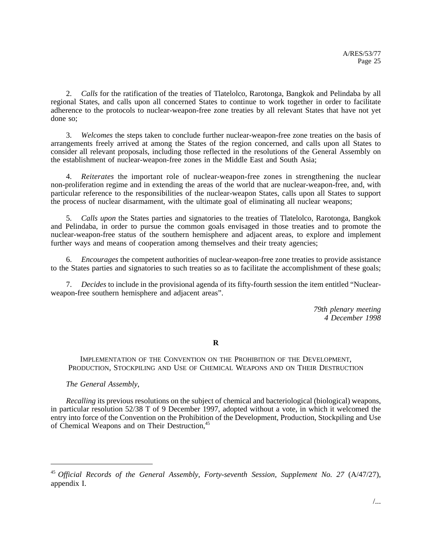2. *Calls* for the ratification of the treaties of Tlatelolco, Rarotonga, Bangkok and Pelindaba by all regional States, and calls upon all concerned States to continue to work together in order to facilitate adherence to the protocols to nuclear-weapon-free zone treaties by all relevant States that have not yet done so;

3. *Welcomes* the steps taken to conclude further nuclear-weapon-free zone treaties on the basis of arrangements freely arrived at among the States of the region concerned, and calls upon all States to consider all relevant proposals, including those reflected in the resolutions of the General Assembly on the establishment of nuclear-weapon-free zones in the Middle East and South Asia;

4. *Reiterates* the important role of nuclear-weapon-free zones in strengthening the nuclear non-proliferation regime and in extending the areas of the world that are nuclear-weapon-free, and, with particular reference to the responsibilities of the nuclear-weapon States, calls upon all States to support the process of nuclear disarmament, with the ultimate goal of eliminating all nuclear weapons;

5. *Calls upon* the States parties and signatories to the treaties of Tlatelolco, Rarotonga, Bangkok and Pelindaba, in order to pursue the common goals envisaged in those treaties and to promote the nuclear-weapon-free status of the southern hemisphere and adjacent areas, to explore and implement further ways and means of cooperation among themselves and their treaty agencies;

6. *Encourages* the competent authorities of nuclear-weapon-free zone treaties to provide assistance to the States parties and signatories to such treaties so as to facilitate the accomplishment of these goals;

7. *Decides* to include in the provisional agenda of its fifty-fourth session the item entitled "Nuclearweapon-free southern hemisphere and adjacent areas".

> *79th plenary meeting 4 December 1998*

## **R**

IMPLEMENTATION OF THE CONVENTION ON THE PROHIBITION OF THE DEVELOPMENT, PRODUCTION, STOCKPILING AND USE OF CHEMICAL WEAPONS AND ON THEIR DESTRUCTION

## *The General Assembly*,

*Recalling* its previous resolutions on the subject of chemical and bacteriological (biological) weapons, in particular resolution 52/38 T of 9 December 1997, adopted without a vote, in which it welcomed the entry into force of the Convention on the Prohibition of the Development, Production, Stockpiling and Use of Chemical Weapons and on Their Destruction,<sup>45</sup>

<sup>45</sup> *Official Records of the General Assembly, Forty-seventh Session, Supplement No. 27* (A/47/27), appendix I.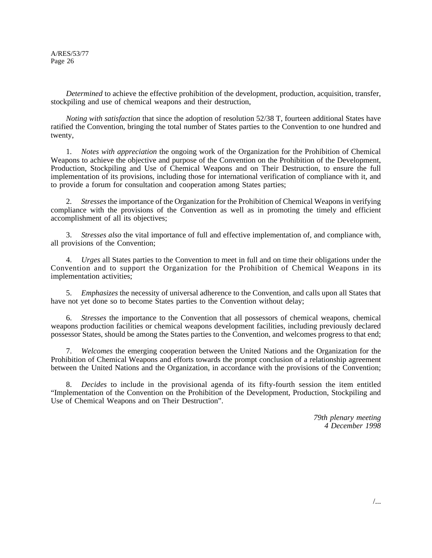*Determined* to achieve the effective prohibition of the development, production, acquisition, transfer, stockpiling and use of chemical weapons and their destruction,

*Noting with satisfaction* that since the adoption of resolution 52/38 T, fourteen additional States have ratified the Convention, bringing the total number of States parties to the Convention to one hundred and twenty,

1. *Notes with appreciation* the ongoing work of the Organization for the Prohibition of Chemical Weapons to achieve the objective and purpose of the Convention on the Prohibition of the Development, Production, Stockpiling and Use of Chemical Weapons and on Their Destruction, to ensure the full implementation of its provisions, including those for international verification of compliance with it, and to provide a forum for consultation and cooperation among States parties;

2. *Stresses* the importance of the Organization for the Prohibition of Chemical Weapons in verifying compliance with the provisions of the Convention as well as in promoting the timely and efficient accomplishment of all its objectives;

3. *Stresses also* the vital importance of full and effective implementation of, and compliance with, all provisions of the Convention;

4. *Urges* all States parties to the Convention to meet in full and on time their obligations under the Convention and to support the Organization for the Prohibition of Chemical Weapons in its implementation activities;

5. *Emphasizes* the necessity of universal adherence to the Convention, and calls upon all States that have not yet done so to become States parties to the Convention without delay;

6. *Stresses* the importance to the Convention that all possessors of chemical weapons, chemical weapons production facilities or chemical weapons development facilities, including previously declared possessor States, should be among the States parties to the Convention, and welcomes progress to that end;

7. *Welcomes* the emerging cooperation between the United Nations and the Organization for the Prohibition of Chemical Weapons and efforts towards the prompt conclusion of a relationship agreement between the United Nations and the Organization, in accordance with the provisions of the Convention;

8. *Decides* to include in the provisional agenda of its fifty-fourth session the item entitled "Implementation of the Convention on the Prohibition of the Development, Production, Stockpiling and Use of Chemical Weapons and on Their Destruction".

> *79th plenary meeting 4 December 1998*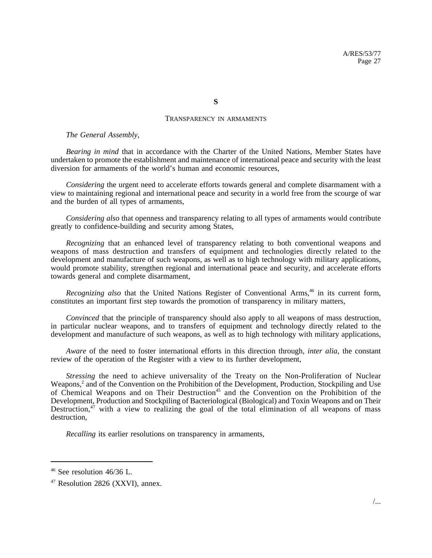**S**

#### TRANSPARENCY IN ARMAMENTS

*The General Assembly*,

*Bearing in mind* that in accordance with the Charter of the United Nations, Member States have undertaken to promote the establishment and maintenance of international peace and security with the least diversion for armaments of the world's human and economic resources,

*Considering* the urgent need to accelerate efforts towards general and complete disarmament with a view to maintaining regional and international peace and security in a world free from the scourge of war and the burden of all types of armaments,

*Considering also* that openness and transparency relating to all types of armaments would contribute greatly to confidence-building and security among States,

*Recognizing* that an enhanced level of transparency relating to both conventional weapons and weapons of mass destruction and transfers of equipment and technologies directly related to the development and manufacture of such weapons, as well as to high technology with military applications, would promote stability, strengthen regional and international peace and security, and accelerate efforts towards general and complete disarmament,

*Recognizing also* that the United Nations Register of Conventional Arms,<sup>46</sup> in its current form, constitutes an important first step towards the promotion of transparency in military matters,

*Convinced* that the principle of transparency should also apply to all weapons of mass destruction, in particular nuclear weapons, and to transfers of equipment and technology directly related to the development and manufacture of such weapons, as well as to high technology with military applications,

*Aware* of the need to foster international efforts in this direction through, *inter alia*, the constant review of the operation of the Register with a view to its further development,

*Stressing* the need to achieve universality of the Treaty on the Non-Proliferation of Nuclear Weapons,<sup>2</sup> and of the Convention on the Prohibition of the Development, Production, Stockpiling and Use of Chemical Weapons and on Their Destruction<sup>45</sup> and the Convention on the Prohibition of the Development, Production and Stockpiling of Bacteriological (Biological) and Toxin Weapons and on Their Destruction, $47$  with a view to realizing the goal of the total elimination of all weapons of mass destruction,

*Recalling* its earlier resolutions on transparency in armaments,

 $46$  See resolution 46/36 L.

<sup>47</sup> Resolution 2826 (XXVI), annex.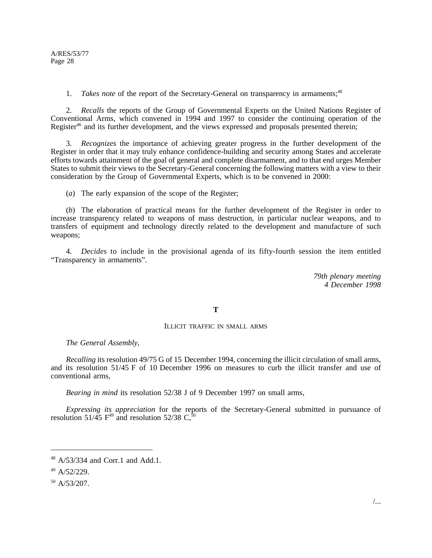1. *Takes note* of the report of the Secretary-General on transparency in armaments;<sup>48</sup>

2. *Recalls* the reports of the Group of Governmental Experts on the United Nations Register of Conventional Arms, which convened in 1994 and 1997 to consider the continuing operation of the Register<sup>46</sup> and its further development, and the views expressed and proposals presented therein;

3. *Recognizes* the importance of achieving greater progress in the further development of the Register in order that it may truly enhance confidence-building and security among States and accelerate efforts towards attainment of the goal of general and complete disarmament, and to that end urges Member States to submit their views to the Secretary-General concerning the following matters with a view to their consideration by the Group of Governmental Experts, which is to be convened in 2000:

(*a*) The early expansion of the scope of the Register;

(*b*) The elaboration of practical means for the further development of the Register in order to increase transparency related to weapons of mass destruction, in particular nuclear weapons, and to transfers of equipment and technology directly related to the development and manufacture of such weapons;

4. *Decides* to include in the provisional agenda of its fifty-fourth session the item entitled "Transparency in armaments".

> *79th plenary meeting 4 December 1998*

**T**

## ILLICIT TRAFFIC IN SMALL ARMS

*The General Assembly,*

*Recalling* its resolution 49/75 G of 15 December 1994, concerning the illicit circulation of small arms, and its resolution 51/45 F of 10 December 1996 on measures to curb the illicit transfer and use of conventional arms,

*Bearing in mind* its resolution 52/38 J of 9 December 1997 on small arms,

*Expressing its appreciation* for the reports of the Secretary-General submitted in pursuance of resolution 51/45  $F^{49}$  and resolution 52/38 C,<sup>50</sup>

 $48$  A/53/334 and Corr.1 and Add.1.

 $49$  A/52/229.

 $50$  A/53/207.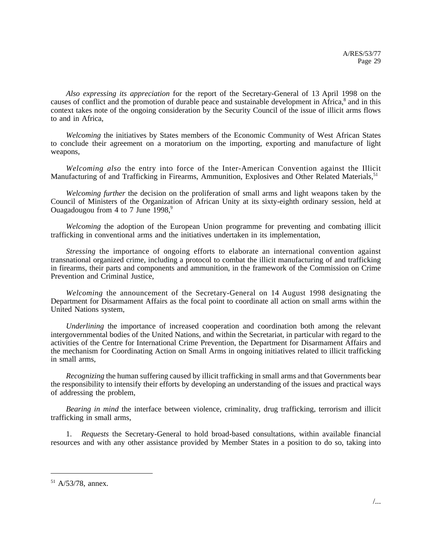*Also expressing its appreciation* for the report of the Secretary-General of 13 April 1998 on the causes of conflict and the promotion of durable peace and sustainable development in Africa,<sup>8</sup> and in this context takes note of the ongoing consideration by the Security Council of the issue of illicit arms flows to and in Africa,

*Welcoming* the initiatives by States members of the Economic Community of West African States to conclude their agreement on a moratorium on the importing, exporting and manufacture of light weapons,

*Welcoming also* the entry into force of the Inter-American Convention against the Illicit Manufacturing of and Trafficking in Firearms, Ammunition, Explosives and Other Related Materials.<sup>51</sup>

*Welcoming further* the decision on the proliferation of small arms and light weapons taken by the Council of Ministers of the Organization of African Unity at its sixty-eighth ordinary session, held at Ouagadougou from 4 to 7 June  $1998$ ,<sup>9</sup>

*Welcoming* the adoption of the European Union programme for preventing and combating illicit trafficking in conventional arms and the initiatives undertaken in its implementation,

*Stressing* the importance of ongoing efforts to elaborate an international convention against transnational organized crime, including a protocol to combat the illicit manufacturing of and trafficking in firearms, their parts and components and ammunition, in the framework of the Commission on Crime Prevention and Criminal Justice,

*Welcoming* the announcement of the Secretary-General on 14 August 1998 designating the Department for Disarmament Affairs as the focal point to coordinate all action on small arms within the United Nations system,

*Underlining* the importance of increased cooperation and coordination both among the relevant intergovernmental bodies of the United Nations, and within the Secretariat, in particular with regard to the activities of the Centre for International Crime Prevention, the Department for Disarmament Affairs and the mechanism for Coordinating Action on Small Arms in ongoing initiatives related to illicit trafficking in small arms,

*Recognizing* the human suffering caused by illicit trafficking in small arms and that Governments bear the responsibility to intensify their efforts by developing an understanding of the issues and practical ways of addressing the problem,

*Bearing in mind* the interface between violence, criminality, drug trafficking, terrorism and illicit trafficking in small arms,

1. *Requests* the Secretary-General to hold broad-based consultations, within available financial resources and with any other assistance provided by Member States in a position to do so, taking into

<sup>51</sup> A/53/78, annex.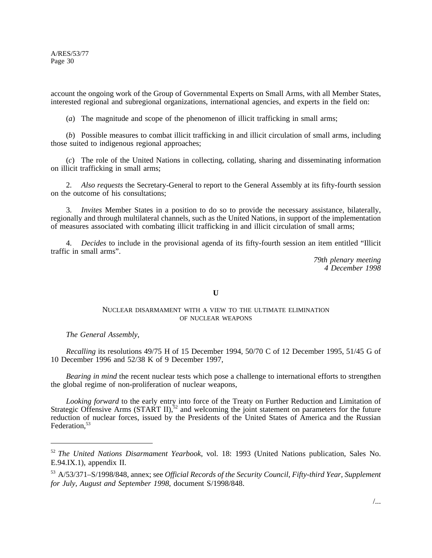account the ongoing work of the Group of Governmental Experts on Small Arms, with all Member States, interested regional and subregional organizations, international agencies, and experts in the field on:

(*a*) The magnitude and scope of the phenomenon of illicit trafficking in small arms;

(*b*) Possible measures to combat illicit trafficking in and illicit circulation of small arms, including those suited to indigenous regional approaches;

(*c*) The role of the United Nations in collecting, collating, sharing and disseminating information on illicit trafficking in small arms;

2. *Also requests* the Secretary-General to report to the General Assembly at its fifty-fourth session on the outcome of his consultations;

3. *Invites* Member States in a position to do so to provide the necessary assistance, bilaterally, regionally and through multilateral channels, such as the United Nations, in support of the implementation of measures associated with combating illicit trafficking in and illicit circulation of small arms;

4. *Decides* to include in the provisional agenda of its fifty-fourth session an item entitled "Illicit traffic in small arms".

> *79th plenary meeting 4 December 1998*

## **U**

#### NUCLEAR DISARMAMENT WITH A VIEW TO THE ULTIMATE ELIMINATION OF NUCLEAR WEAPONS

#### *The General Assembly*,

*Recalling* its resolutions 49/75 H of 15 December 1994, 50/70 C of 12 December 1995, 51/45 G of 10 December 1996 and 52/38 K of 9 December 1997,

*Bearing in mind* the recent nuclear tests which pose a challenge to international efforts to strengthen the global regime of non-proliferation of nuclear weapons,

*Looking forward* to the early entry into force of the Treaty on Further Reduction and Limitation of Strategic Offensive Arms (START II),<sup>52</sup> and welcoming the joint statement on parameters for the future reduction of nuclear forces, issued by the Presidents of the United States of America and the Russian Federation.<sup>53</sup>

<sup>52</sup> *The United Nations Disarmament Yearbook*, vol. 18: 1993 (United Nations publication, Sales No. E.94.IX.1), appendix II.

<sup>53</sup> A/53/371–S/1998/848, annex; see *Official Records of the Security Council, Fifty-third Year, Supplement for July, August and September 1998*, document S/1998/848.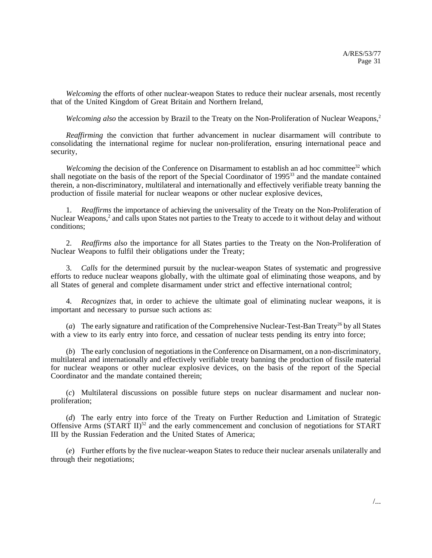*Welcoming* the efforts of other nuclear-weapon States to reduce their nuclear arsenals, most recently that of the United Kingdom of Great Britain and Northern Ireland,

*Welcoming also* the accession by Brazil to the Treaty on the Non-Proliferation of Nuclear Weapons,<sup>2</sup>

*Reaffirming* the conviction that further advancement in nuclear disarmament will contribute to consolidating the international regime for nuclear non-proliferation, ensuring international peace and security,

*Welcoming* the decision of the Conference on Disarmament to establish an ad hoc committee<sup>32</sup> which shall negotiate on the basis of the report of the Special Coordinator of 1995<sup>33</sup> and the mandate contained therein, a non-discriminatory, multilateral and internationally and effectively verifiable treaty banning the production of fissile material for nuclear weapons or other nuclear explosive devices,

1. *Reaffirms* the importance of achieving the universality of the Treaty on the Non-Proliferation of Nuclear Weapons,2 and calls upon States not parties to the Treaty to accede to it without delay and without conditions;

2. *Reaffirms also* the importance for all States parties to the Treaty on the Non-Proliferation of Nuclear Weapons to fulfil their obligations under the Treaty;

3. *Calls* for the determined pursuit by the nuclear-weapon States of systematic and progressive efforts to reduce nuclear weapons globally, with the ultimate goal of eliminating those weapons, and by all States of general and complete disarmament under strict and effective international control;

4. *Recognizes* that, in order to achieve the ultimate goal of eliminating nuclear weapons, it is important and necessary to pursue such actions as:

(*a*) The early signature and ratification of the Comprehensive Nuclear-Test-Ban Treaty<sup>26</sup> by all States with a view to its early entry into force, and cessation of nuclear tests pending its entry into force;

(*b*) The early conclusion of negotiations in the Conference on Disarmament, on a non-discriminatory, multilateral and internationally and effectively verifiable treaty banning the production of fissile material for nuclear weapons or other nuclear explosive devices, on the basis of the report of the Special Coordinator and the mandate contained therein;

(*c*) Multilateral discussions on possible future steps on nuclear disarmament and nuclear nonproliferation;

(*d*) The early entry into force of the Treaty on Further Reduction and Limitation of Strategic Offensive Arms  $(START II)<sup>52</sup>$  and the early commencement and conclusion of negotiations for START III by the Russian Federation and the United States of America;

(*e*) Further efforts by the five nuclear-weapon States to reduce their nuclear arsenals unilaterally and through their negotiations;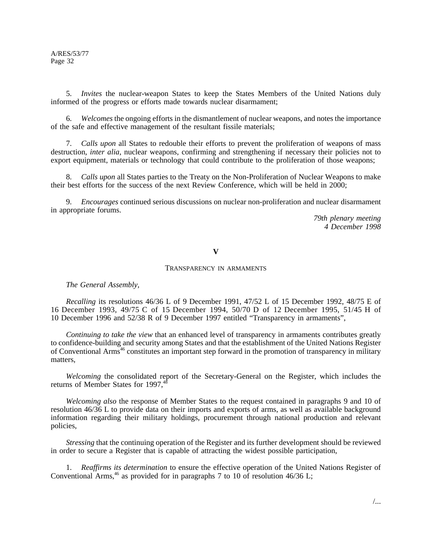5. *Invites* the nuclear-weapon States to keep the States Members of the United Nations duly informed of the progress or efforts made towards nuclear disarmament;

6. *Welcomes* the ongoing efforts in the dismantlement of nuclear weapons, and notes the importance of the safe and effective management of the resultant fissile materials;

7. *Calls upon* all States to redouble their efforts to prevent the proliferation of weapons of mass destruction, *inter alia*, nuclear weapons, confirming and strengthening if necessary their policies not to export equipment, materials or technology that could contribute to the proliferation of those weapons;

8. *Calls upon* all States parties to the Treaty on the Non-Proliferation of Nuclear Weapons to make their best efforts for the success of the next Review Conference, which will be held in 2000;

9. *Encourages* continued serious discussions on nuclear non-proliferation and nuclear disarmament in appropriate forums.

> *79th plenary meeting 4 December 1998*

#### **V**

## TRANSPARENCY IN ARMAMENTS

*The General Assembly,*

*Recalling* its resolutions 46/36 L of 9 December 1991, 47/52 L of 15 December 1992, 48/75 E of 16 December 1993, 49/75 C of 15 December 1994, 50/70 D of 12 December 1995, 51/45 H of 10 December 1996 and 52/38 R of 9 December 1997 entitled "Transparency in armaments",

*Continuing to take the view* that an enhanced level of transparency in armaments contributes greatly to confidence-building and security among States and that the establishment of the United Nations Register of Conventional Arms<sup>46</sup> constitutes an important step forward in the promotion of transparency in military matters,

*Welcoming* the consolidated report of the Secretary-General on the Register, which includes the returns of Member States for 1997,<sup>48</sup>

*Welcoming also* the response of Member States to the request contained in paragraphs 9 and 10 of resolution 46/36 L to provide data on their imports and exports of arms, as well as available background information regarding their military holdings, procurement through national production and relevant policies,

*Stressing* that the continuing operation of the Register and its further development should be reviewed in order to secure a Register that is capable of attracting the widest possible participation,

1. *Reaffirms its determination* to ensure the effective operation of the United Nations Register of Conventional Arms,<sup>46</sup> as provided for in paragraphs 7 to 10 of resolution 46/36 L;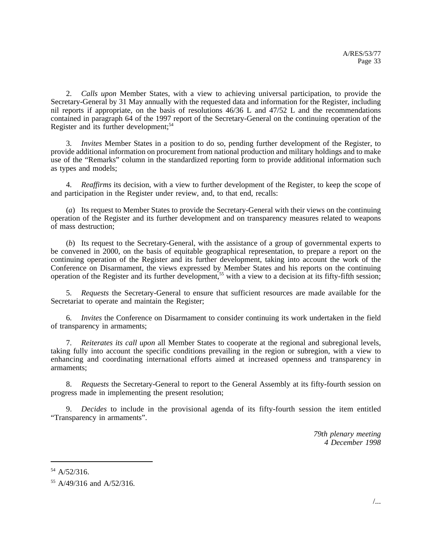2. *Calls upon* Member States, with a view to achieving universal participation, to provide the Secretary-General by 31 May annually with the requested data and information for the Register, including nil reports if appropriate, on the basis of resolutions 46/36 L and 47/52 L and the recommendations contained in paragraph 64 of the 1997 report of the Secretary-General on the continuing operation of the Register and its further development;<sup>54</sup>

3. *Invites* Member States in a position to do so, pending further development of the Register, to provide additional information on procurement from national production and military holdings and to make use of the "Remarks" column in the standardized reporting form to provide additional information such as types and models;

4. *Reaffirms* its decision, with a view to further development of the Register, to keep the scope of and participation in the Register under review, and, to that end, recalls:

(*a*) Its request to Member States to provide the Secretary-General with their views on the continuing operation of the Register and its further development and on transparency measures related to weapons of mass destruction;

(*b*) Its request to the Secretary-General, with the assistance of a group of governmental experts to be convened in 2000, on the basis of equitable geographical representation, to prepare a report on the continuing operation of the Register and its further development, taking into account the work of the Conference on Disarmament, the views expressed by Member States and his reports on the continuing operation of the Register and its further development,55 with a view to a decision at its fifty-fifth session;

5. *Requests* the Secretary-General to ensure that sufficient resources are made available for the Secretariat to operate and maintain the Register;

6. *Invites* the Conference on Disarmament to consider continuing its work undertaken in the field of transparency in armaments;

7. *Reiterates its call upon* all Member States to cooperate at the regional and subregional levels, taking fully into account the specific conditions prevailing in the region or subregion, with a view to enhancing and coordinating international efforts aimed at increased openness and transparency in armaments;

8. *Requests* the Secretary-General to report to the General Assembly at its fifty-fourth session on progress made in implementing the present resolution;

9. *Decides* to include in the provisional agenda of its fifty-fourth session the item entitled "Transparency in armaments".

> *79th plenary meeting 4 December 1998*

 $54$  A/52/316.

 $55$  A/49/316 and A/52/316.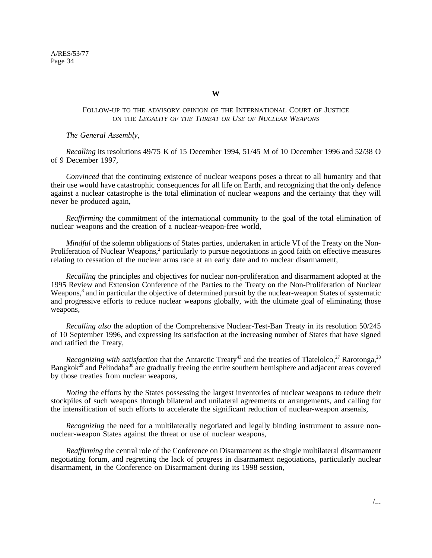#### **W**

### FOLLOW-UP TO THE ADVISORY OPINION OF THE INTERNATIONAL COURT OF JUSTICE ON THE *LEGALITY OF THE THREAT OR USE OF NUCLEAR WEAPONS*

*The General Assembly*,

*Recalling* its resolutions 49/75 K of 15 December 1994, 51/45 M of 10 December 1996 and 52/38 O of 9 December 1997,

*Convinced* that the continuing existence of nuclear weapons poses a threat to all humanity and that their use would have catastrophic consequences for all life on Earth, and recognizing that the only defence against a nuclear catastrophe is the total elimination of nuclear weapons and the certainty that they will never be produced again,

*Reaffirming* the commitment of the international community to the goal of the total elimination of nuclear weapons and the creation of a nuclear-weapon-free world,

*Mindful* of the solemn obligations of States parties, undertaken in article VI of the Treaty on the Non-Proliferation of Nuclear Weapons,<sup>2</sup> particularly to pursue negotiations in good faith on effective measures relating to cessation of the nuclear arms race at an early date and to nuclear disarmament,

*Recalling* the principles and objectives for nuclear non-proliferation and disarmament adopted at the 1995 Review and Extension Conference of the Parties to the Treaty on the Non-Proliferation of Nuclear Weapons,<sup>3</sup> and in particular the objective of determined pursuit by the nuclear-weapon States of systematic and progressive efforts to reduce nuclear weapons globally, with the ultimate goal of eliminating those weapons,

*Recalling also* the adoption of the Comprehensive Nuclear-Test-Ban Treaty in its resolution 50/245 of 10 September 1996, and expressing its satisfaction at the increasing number of States that have signed and ratified the Treaty,

*Recognizing with satisfaction* that the Antarctic Treaty<sup>43</sup> and the treaties of Tlatelolco,<sup>27</sup> Rarotonga,<sup>28</sup> Bangkok<sup>29</sup> and Pelindaba<sup>30</sup> are gradually freeing the entire southern hemisphere and adjacent areas covered by those treaties from nuclear weapons,

*Noting* the efforts by the States possessing the largest inventories of nuclear weapons to reduce their stockpiles of such weapons through bilateral and unilateral agreements or arrangements, and calling for the intensification of such efforts to accelerate the significant reduction of nuclear-weapon arsenals,

*Recognizing* the need for a multilaterally negotiated and legally binding instrument to assure nonnuclear-weapon States against the threat or use of nuclear weapons,

*Reaffirming* the central role of the Conference on Disarmament as the single multilateral disarmament negotiating forum, and regretting the lack of progress in disarmament negotiations, particularly nuclear disarmament, in the Conference on Disarmament during its 1998 session,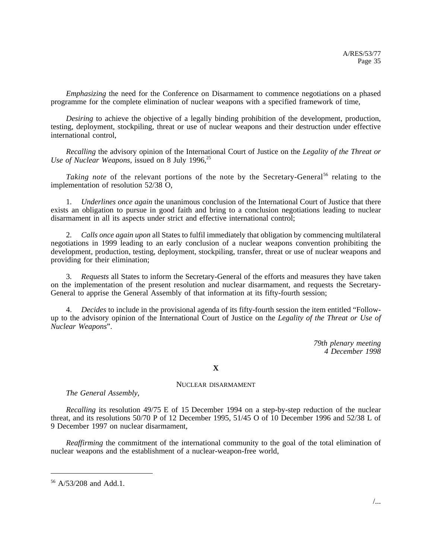*Emphasizing* the need for the Conference on Disarmament to commence negotiations on a phased programme for the complete elimination of nuclear weapons with a specified framework of time,

*Desiring* to achieve the objective of a legally binding prohibition of the development, production, testing, deployment, stockpiling, threat or use of nuclear weapons and their destruction under effective international control,

*Recalling* the advisory opinion of the International Court of Justice on the *Legality of the Threat or Use of Nuclear Weapons*, issued on 8 July 1996.<sup>25</sup>

*Taking note* of the relevant portions of the note by the Secretary-General<sup>56</sup> relating to the implementation of resolution 52/38 O,

1. *Underlines once again* the unanimous conclusion of the International Court of Justice that there exists an obligation to pursue in good faith and bring to a conclusion negotiations leading to nuclear disarmament in all its aspects under strict and effective international control;

2. *Calls once again upon* all States to fulfil immediately that obligation by commencing multilateral negotiations in 1999 leading to an early conclusion of a nuclear weapons convention prohibiting the development, production, testing, deployment, stockpiling, transfer, threat or use of nuclear weapons and providing for their elimination;

3. *Requests* all States to inform the Secretary-General of the efforts and measures they have taken on the implementation of the present resolution and nuclear disarmament, and requests the Secretary-General to apprise the General Assembly of that information at its fifty-fourth session;

4. *Decides* to include in the provisional agenda of its fifty-fourth session the item entitled "Followup to the advisory opinion of the International Court of Justice on the *Legality of the Threat or Use of Nuclear Weapons*".

> *79th plenary meeting 4 December 1998*

**X**

#### NUCLEAR DISARMAMENT

*The General Assembly*,

*Recalling* its resolution 49/75 E of 15 December 1994 on a step-by-step reduction of the nuclear threat, and its resolutions 50/70 P of 12 December 1995, 51/45 O of 10 December 1996 and 52/38 L of 9 December 1997 on nuclear disarmament,

*Reaffirming* the commitment of the international community to the goal of the total elimination of nuclear weapons and the establishment of a nuclear-weapon-free world,

<sup>56</sup> A/53/208 and Add.1.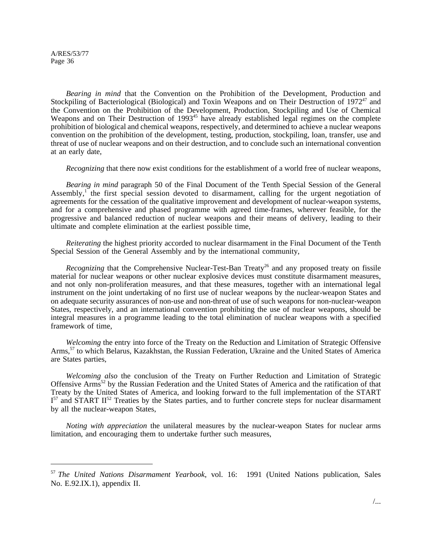*Bearing in mind* that the Convention on the Prohibition of the Development, Production and Stockpiling of Bacteriological (Biological) and Toxin Weapons and on Their Destruction of 1972<sup>47</sup> and the Convention on the Prohibition of the Development, Production, Stockpiling and Use of Chemical Weapons and on Their Destruction of 1993<sup>45</sup> have already established legal regimes on the complete prohibition of biological and chemical weapons, respectively, and determined to achieve a nuclear weapons convention on the prohibition of the development, testing, production, stockpiling, loan, transfer, use and threat of use of nuclear weapons and on their destruction, and to conclude such an international convention at an early date,

*Recognizing* that there now exist conditions for the establishment of a world free of nuclear weapons,

*Bearing in mind* paragraph 50 of the Final Document of the Tenth Special Session of the General Assembly,<sup>1</sup> the first special session devoted to disarmament, calling for the urgent negotiation of agreements for the cessation of the qualitative improvement and development of nuclear-weapon systems, and for a comprehensive and phased programme with agreed time-frames, wherever feasible, for the progressive and balanced reduction of nuclear weapons and their means of delivery, leading to their ultimate and complete elimination at the earliest possible time,

*Reiterating* the highest priority accorded to nuclear disarmament in the Final Document of the Tenth Special Session of the General Assembly and by the international community,

*Recognizing* that the Comprehensive Nuclear-Test-Ban Treaty<sup>26</sup> and any proposed treaty on fissile material for nuclear weapons or other nuclear explosive devices must constitute disarmament measures, and not only non-proliferation measures, and that these measures, together with an international legal instrument on the joint undertaking of no first use of nuclear weapons by the nuclear-weapon States and on adequate security assurances of non-use and non-threat of use of such weapons for non-nuclear-weapon States, respectively, and an international convention prohibiting the use of nuclear weapons, should be integral measures in a programme leading to the total elimination of nuclear weapons with a specified framework of time,

*Welcoming* the entry into force of the Treaty on the Reduction and Limitation of Strategic Offensive Arms,57 to which Belarus, Kazakhstan, the Russian Federation, Ukraine and the United States of America are States parties,

*Welcoming also* the conclusion of the Treaty on Further Reduction and Limitation of Strategic Offensive Arms<sup>52</sup> by the Russian Federation and the United States of America and the ratification of that Treaty by the United States of America, and looking forward to the full implementation of the START  $I<sup>57</sup>$  and START II<sup>52</sup> Treaties by the States parties, and to further concrete steps for nuclear disarmament by all the nuclear-weapon States,

*Noting with appreciation* the unilateral measures by the nuclear-weapon States for nuclear arms limitation, and encouraging them to undertake further such measures,

<sup>57</sup> *The United Nations Disarmament Yearbook*, vol. 16: 1991 (United Nations publication, Sales No. E.92.IX.1), appendix II.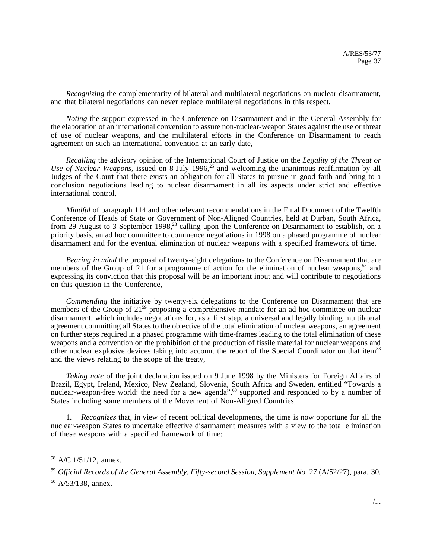*Recognizing* the complementarity of bilateral and multilateral negotiations on nuclear disarmament, and that bilateral negotiations can never replace multilateral negotiations in this respect,

*Noting* the support expressed in the Conference on Disarmament and in the General Assembly for the elaboration of an international convention to assure non-nuclear-weapon States against the use or threat of use of nuclear weapons, and the multilateral efforts in the Conference on Disarmament to reach agreement on such an international convention at an early date,

*Recalling* the advisory opinion of the International Court of Justice on the *Legality of the Threat or Use of Nuclear Weapons*, issued on 8 July 1996,<sup>25</sup> and welcoming the unanimous reaffirmation by all Judges of the Court that there exists an obligation for all States to pursue in good faith and bring to a conclusion negotiations leading to nuclear disarmament in all its aspects under strict and effective international control,

*Mindful* of paragraph 114 and other relevant recommendations in the Final Document of the Twelfth Conference of Heads of State or Government of Non-Aligned Countries, held at Durban, South Africa, from 29 August to 3 September 1998,<sup>23</sup> calling upon the Conference on Disarmament to establish, on a priority basis, an ad hoc committee to commence negotiations in 1998 on a phased programme of nuclear disarmament and for the eventual elimination of nuclear weapons with a specified framework of time,

*Bearing in mind* the proposal of twenty-eight delegations to the Conference on Disarmament that are members of the Group of 21 for a programme of action for the elimination of nuclear weapons,<sup>58</sup> and expressing its conviction that this proposal will be an important input and will contribute to negotiations on this question in the Conference,

*Commending* the initiative by twenty-six delegations to the Conference on Disarmament that are members of the Group of  $21^{59}$  proposing a comprehensive mandate for an ad hoc committee on nuclear disarmament, which includes negotiations for, as a first step, a universal and legally binding multilateral agreement committing all States to the objective of the total elimination of nuclear weapons, an agreement on further steps required in a phased programme with time-frames leading to the total elimination of these weapons and a convention on the prohibition of the production of fissile material for nuclear weapons and other nuclear explosive devices taking into account the report of the Special Coordinator on that item33 and the views relating to the scope of the treaty,

*Taking note* of the joint declaration issued on 9 June 1998 by the Ministers for Foreign Affairs of Brazil, Egypt, Ireland, Mexico, New Zealand, Slovenia, South Africa and Sweden, entitled "Towards a nuclear-weapon-free world: the need for a new agenda",<sup>60</sup> supported and responded to by a number of States including some members of the Movement of Non-Aligned Countries,

1. *Recognizes* that, in view of recent political developments, the time is now opportune for all the nuclear-weapon States to undertake effective disarmament measures with a view to the total elimination of these weapons with a specified framework of time;

 $58$  A/C.1/51/12, annex.

<sup>59</sup> *Official Records of the General Assembly, Fifty-second Session, Supplement No.* 27 (A/52/27), para. 30.  $60$  A/53/138, annex.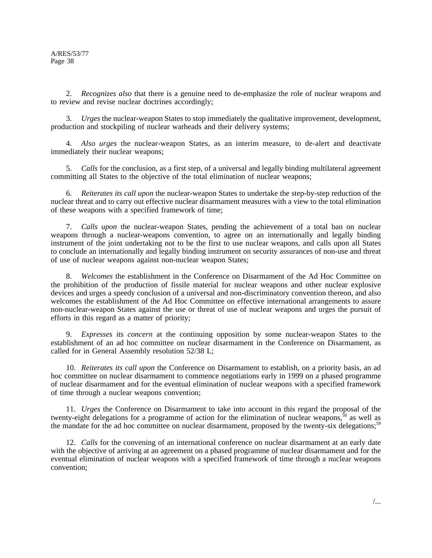2. *Recognizes also* that there is a genuine need to de-emphasize the role of nuclear weapons and to review and revise nuclear doctrines accordingly;

3. *Urges* the nuclear-weapon States to stop immediately the qualitative improvement, development, production and stockpiling of nuclear warheads and their delivery systems;

4. *Also urges* the nuclear-weapon States, as an interim measure, to de-alert and deactivate immediately their nuclear weapons;

5. *Calls* for the conclusion, as a first step, of a universal and legally binding multilateral agreement committing all States to the objective of the total elimination of nuclear weapons;

6. *Reiterates its call upon* the nuclear-weapon States to undertake the step-by-step reduction of the nuclear threat and to carry out effective nuclear disarmament measures with a view to the total elimination of these weapons with a specified framework of time;

7. *Calls upon* the nuclear-weapon States, pending the achievement of a total ban on nuclear weapons through a nuclear-weapons convention, to agree on an internationally and legally binding instrument of the joint undertaking not to be the first to use nuclear weapons, and calls upon all States to conclude an internationally and legally binding instrument on security assurances of non-use and threat of use of nuclear weapons against non-nuclear weapon States;

8. *Welcomes* the establishment in the Conference on Disarmament of the Ad Hoc Committee on the prohibition of the production of fissile material for nuclear weapons and other nuclear explosive devices and urges a speedy conclusion of a universal and non-discriminatory convention thereon, and also welcomes the establishment of the Ad Hoc Committee on effective international arrangements to assure non-nuclear-weapon States against the use or threat of use of nuclear weapons and urges the pursuit of efforts in this regard as a matter of priority;

9. *Expresses its concern* at the continuing opposition by some nuclear-weapon States to the establishment of an ad hoc committee on nuclear disarmament in the Conference on Disarmament, as called for in General Assembly resolution 52/38 L;

10. *Reiterates its call upon* the Conference on Disarmament to establish, on a priority basis, an ad hoc committee on nuclear disarmament to commence negotiations early in 1999 on a phased programme of nuclear disarmament and for the eventual elimination of nuclear weapons with a specified framework of time through a nuclear weapons convention;

11. *Urges* the Conference on Disarmament to take into account in this regard the proposal of the twenty-eight delegations for a programme of action for the elimination of nuclear weapons,<sup>58</sup> as well as the mandate for the ad hoc committee on nuclear disarmament, proposed by the twenty-six delegations;<sup>59</sup>

12. *Calls* for the convening of an international conference on nuclear disarmament at an early date with the objective of arriving at an agreement on a phased programme of nuclear disarmament and for the eventual elimination of nuclear weapons with a specified framework of time through a nuclear weapons convention;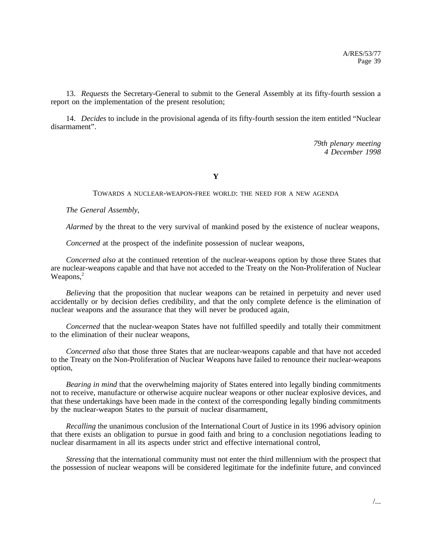13. *Requests* the Secretary-General to submit to the General Assembly at its fifty-fourth session a report on the implementation of the present resolution;

14. *Decides* to include in the provisional agenda of its fifty-fourth session the item entitled "Nuclear disarmament".

> *79th plenary meeting 4 December 1998*

**Y**

TOWARDS A NUCLEAR-WEAPON-FREE WORLD: THE NEED FOR A NEW AGENDA

#### *The General Assembly*,

*Alarmed* by the threat to the very survival of mankind posed by the existence of nuclear weapons,

*Concerned* at the prospect of the indefinite possession of nuclear weapons,

*Concerned also* at the continued retention of the nuclear-weapons option by those three States that are nuclear-weapons capable and that have not acceded to the Treaty on the Non-Proliferation of Nuclear Weapons,<sup>2</sup>

*Believing* that the proposition that nuclear weapons can be retained in perpetuity and never used accidentally or by decision defies credibility, and that the only complete defence is the elimination of nuclear weapons and the assurance that they will never be produced again,

*Concerned* that the nuclear-weapon States have not fulfilled speedily and totally their commitment to the elimination of their nuclear weapons,

*Concerned also* that those three States that are nuclear-weapons capable and that have not acceded to the Treaty on the Non-Proliferation of Nuclear Weapons have failed to renounce their nuclear-weapons option,

*Bearing in mind* that the overwhelming majority of States entered into legally binding commitments not to receive, manufacture or otherwise acquire nuclear weapons or other nuclear explosive devices, and that these undertakings have been made in the context of the corresponding legally binding commitments by the nuclear-weapon States to the pursuit of nuclear disarmament,

*Recalling* the unanimous conclusion of the International Court of Justice in its 1996 advisory opinion that there exists an obligation to pursue in good faith and bring to a conclusion negotiations leading to nuclear disarmament in all its aspects under strict and effective international control,

*Stressing* that the international community must not enter the third millennium with the prospect that the possession of nuclear weapons will be considered legitimate for the indefinite future, and convinced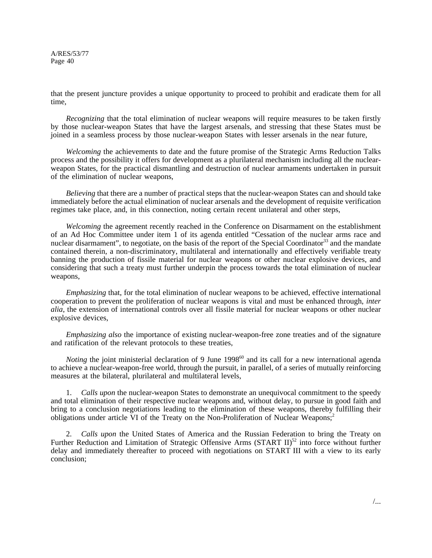that the present juncture provides a unique opportunity to proceed to prohibit and eradicate them for all time,

*Recognizing* that the total elimination of nuclear weapons will require measures to be taken firstly by those nuclear-weapon States that have the largest arsenals, and stressing that these States must be joined in a seamless process by those nuclear-weapon States with lesser arsenals in the near future,

*Welcoming* the achievements to date and the future promise of the Strategic Arms Reduction Talks process and the possibility it offers for development as a plurilateral mechanism including all the nuclearweapon States, for the practical dismantling and destruction of nuclear armaments undertaken in pursuit of the elimination of nuclear weapons,

*Believing* that there are a number of practical steps that the nuclear-weapon States can and should take immediately before the actual elimination of nuclear arsenals and the development of requisite verification regimes take place, and, in this connection, noting certain recent unilateral and other steps,

*Welcoming* the agreement recently reached in the Conference on Disarmament on the establishment of an Ad Hoc Committee under item 1 of its agenda entitled "Cessation of the nuclear arms race and nuclear disarmament", to negotiate, on the basis of the report of the Special Coordinator<sup>33</sup> and the mandate contained therein, a non-discriminatory, multilateral and internationally and effectively verifiable treaty banning the production of fissile material for nuclear weapons or other nuclear explosive devices, and considering that such a treaty must further underpin the process towards the total elimination of nuclear weapons,

*Emphasizing* that, for the total elimination of nuclear weapons to be achieved, effective international cooperation to prevent the proliferation of nuclear weapons is vital and must be enhanced through, *inter alia*, the extension of international controls over all fissile material for nuclear weapons or other nuclear explosive devices,

*Emphasizing also* the importance of existing nuclear-weapon-free zone treaties and of the signature and ratification of the relevant protocols to these treaties,

*Noting* the joint ministerial declaration of 9 June 1998<sup>60</sup> and its call for a new international agenda to achieve a nuclear-weapon-free world, through the pursuit, in parallel, of a series of mutually reinforcing measures at the bilateral, plurilateral and multilateral levels,

1. *Calls upon* the nuclear-weapon States to demonstrate an unequivocal commitment to the speedy and total elimination of their respective nuclear weapons and, without delay, to pursue in good faith and bring to a conclusion negotiations leading to the elimination of these weapons, thereby fulfilling their obligations under article VI of the Treaty on the Non-Proliferation of Nuclear Weapons;<sup>2</sup>

2. *Calls upon* the United States of America and the Russian Federation to bring the Treaty on Further Reduction and Limitation of Strategic Offensive Arms (START II)<sup>52</sup> into force without further delay and immediately thereafter to proceed with negotiations on START III with a view to its early conclusion;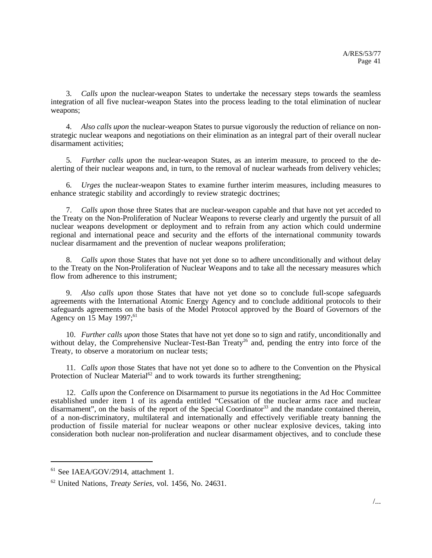3. *Calls upon* the nuclear-weapon States to undertake the necessary steps towards the seamless integration of all five nuclear-weapon States into the process leading to the total elimination of nuclear weapons;

4. *Also calls upon* the nuclear-weapon States to pursue vigorously the reduction of reliance on nonstrategic nuclear weapons and negotiations on their elimination as an integral part of their overall nuclear disarmament activities;

5. *Further calls upon* the nuclear-weapon States, as an interim measure, to proceed to the dealerting of their nuclear weapons and, in turn, to the removal of nuclear warheads from delivery vehicles;

6. *Urges* the nuclear-weapon States to examine further interim measures, including measures to enhance strategic stability and accordingly to review strategic doctrines;

7. *Calls upon* those three States that are nuclear-weapon capable and that have not yet acceded to the Treaty on the Non-Proliferation of Nuclear Weapons to reverse clearly and urgently the pursuit of all nuclear weapons development or deployment and to refrain from any action which could undermine regional and international peace and security and the efforts of the international community towards nuclear disarmament and the prevention of nuclear weapons proliferation;

8. *Calls upon* those States that have not yet done so to adhere unconditionally and without delay to the Treaty on the Non-Proliferation of Nuclear Weapons and to take all the necessary measures which flow from adherence to this instrument;

9. *Also calls upon* those States that have not yet done so to conclude full-scope safeguards agreements with the International Atomic Energy Agency and to conclude additional protocols to their safeguards agreements on the basis of the Model Protocol approved by the Board of Governors of the Agency on 15 May 1997; $61$ 

10. *Further calls upon* those States that have not yet done so to sign and ratify, unconditionally and without delay, the Comprehensive Nuclear-Test-Ban Treaty<sup>26</sup> and, pending the entry into force of the Treaty, to observe a moratorium on nuclear tests;

11. *Calls upon* those States that have not yet done so to adhere to the Convention on the Physical Protection of Nuclear Material<sup>62</sup> and to work towards its further strengthening;

12. *Calls upon* the Conference on Disarmament to pursue its negotiations in the Ad Hoc Committee established under item 1 of its agenda entitled "Cessation of the nuclear arms race and nuclear disarmament", on the basis of the report of the Special Coordinator<sup>33</sup> and the mandate contained therein, of a non-discriminatory, multilateral and internationally and effectively verifiable treaty banning the production of fissile material for nuclear weapons or other nuclear explosive devices, taking into consideration both nuclear non-proliferation and nuclear disarmament objectives, and to conclude these

<sup>61</sup> See IAEA/GOV/2914, attachment 1.

<sup>62</sup> United Nations, *Treaty Series*, vol. 1456, No. 24631.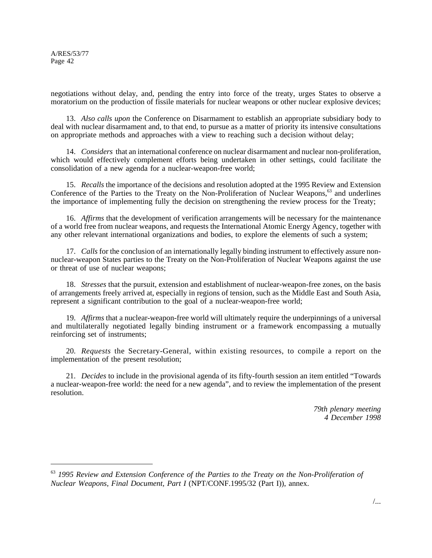negotiations without delay, and, pending the entry into force of the treaty, urges States to observe a moratorium on the production of fissile materials for nuclear weapons or other nuclear explosive devices;

13. *Also calls upon* the Conference on Disarmament to establish an appropriate subsidiary body to deal with nuclear disarmament and, to that end, to pursue as a matter of priority its intensive consultations on appropriate methods and approaches with a view to reaching such a decision without delay;

14. *Considers* that an international conference on nuclear disarmament and nuclear non-proliferation, which would effectively complement efforts being undertaken in other settings, could facilitate the consolidation of a new agenda for a nuclear-weapon-free world;

15. *Recalls* the importance of the decisions and resolution adopted at the 1995 Review and Extension Conference of the Parties to the Treaty on the Non-Proliferation of Nuclear Weapons,<sup>63</sup> and underlines the importance of implementing fully the decision on strengthening the review process for the Treaty;

16. *Affirms* that the development of verification arrangements will be necessary for the maintenance of a world free from nuclear weapons, and requests the International Atomic Energy Agency, together with any other relevant international organizations and bodies, to explore the elements of such a system;

17. *Calls* for the conclusion of an internationally legally binding instrument to effectively assure nonnuclear-weapon States parties to the Treaty on the Non-Proliferation of Nuclear Weapons against the use or threat of use of nuclear weapons;

18. *Stresses* that the pursuit, extension and establishment of nuclear-weapon-free zones, on the basis of arrangements freely arrived at, especially in regions of tension, such as the Middle East and South Asia, represent a significant contribution to the goal of a nuclear-weapon-free world;

19. *Affirms* that a nuclear-weapon-free world will ultimately require the underpinnings of a universal and multilaterally negotiated legally binding instrument or a framework encompassing a mutually reinforcing set of instruments;

20. *Requests* the Secretary-General, within existing resources, to compile a report on the implementation of the present resolution;

21. *Decides* to include in the provisional agenda of its fifty-fourth session an item entitled "Towards a nuclear-weapon-free world: the need for a new agenda", and to review the implementation of the present resolution.

> *79th plenary meeting 4 December 1998*

<sup>63</sup> *1995 Review and Extension Conference of the Parties to the Treaty on the Non-Proliferation of Nuclear Weapons, Final Document, Part I* (NPT/CONF.1995/32 (Part I)), annex.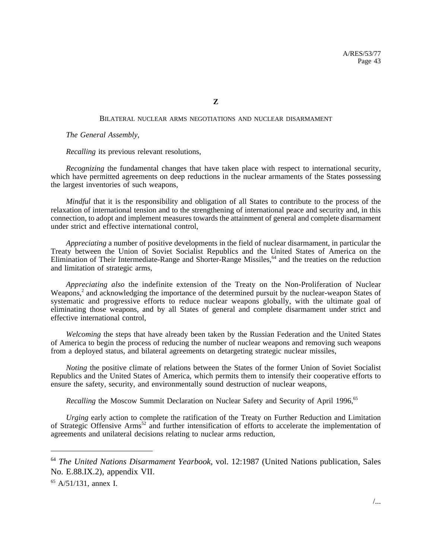**Z**

#### BILATERAL NUCLEAR ARMS NEGOTIATIONS AND NUCLEAR DISARMAMENT

*The General Assembly*,

*Recalling* its previous relevant resolutions,

*Recognizing* the fundamental changes that have taken place with respect to international security, which have permitted agreements on deep reductions in the nuclear armaments of the States possessing the largest inventories of such weapons,

*Mindful* that it is the responsibility and obligation of all States to contribute to the process of the relaxation of international tension and to the strengthening of international peace and security and, in this connection, to adopt and implement measures towards the attainment of general and complete disarmament under strict and effective international control,

*Appreciating* a number of positive developments in the field of nuclear disarmament, in particular the Treaty between the Union of Soviet Socialist Republics and the United States of America on the Elimination of Their Intermediate-Range and Shorter-Range Missiles,<sup>64</sup> and the treaties on the reduction and limitation of strategic arms,

*Appreciating also* the indefinite extension of the Treaty on the Non-Proliferation of Nuclear Weapons,<sup>2</sup> and acknowledging the importance of the determined pursuit by the nuclear-weapon States of systematic and progressive efforts to reduce nuclear weapons globally, with the ultimate goal of eliminating those weapons, and by all States of general and complete disarmament under strict and effective international control,

*Welcoming* the steps that have already been taken by the Russian Federation and the United States of America to begin the process of reducing the number of nuclear weapons and removing such weapons from a deployed status, and bilateral agreements on detargeting strategic nuclear missiles,

*Noting* the positive climate of relations between the States of the former Union of Soviet Socialist Republics and the United States of America, which permits them to intensify their cooperative efforts to ensure the safety, security, and environmentally sound destruction of nuclear weapons,

*Recalling* the Moscow Summit Declaration on Nuclear Safety and Security of April 1996,<sup>65</sup>

*Urging* early action to complete the ratification of the Treaty on Further Reduction and Limitation of Strategic Offensive Arms<sup>52</sup> and further intensification of efforts to accelerate the implementation of agreements and unilateral decisions relating to nuclear arms reduction,

<sup>64</sup> *The United Nations Disarmament Yearbook*, vol. 12:1987 (United Nations publication, Sales No. E.88.IX.2), appendix VII.

 $65$  A/51/131, annex I.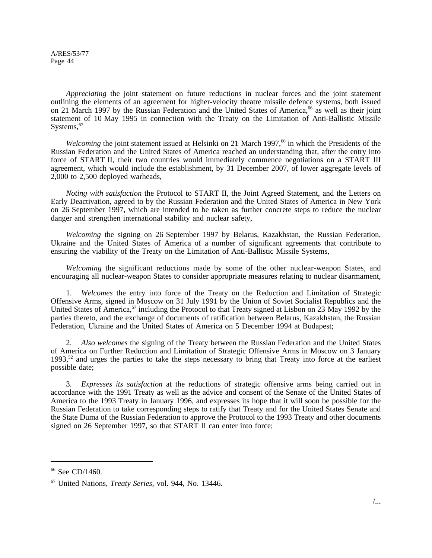*Appreciating* the joint statement on future reductions in nuclear forces and the joint statement outlining the elements of an agreement for higher-velocity theatre missile defence systems, both issued on 21 March 1997 by the Russian Federation and the United States of America,<sup>66</sup> as well as their joint statement of 10 May 1995 in connection with the Treaty on the Limitation of Anti-Ballistic Missile Systems,  $67$ 

*Welcoming* the joint statement issued at Helsinki on 21 March 1997,<sup>66</sup> in which the Presidents of the Russian Federation and the United States of America reached an understanding that, after the entry into force of START II, their two countries would immediately commence negotiations on a START III agreement, which would include the establishment, by 31 December 2007, of lower aggregate levels of 2,000 to 2,500 deployed warheads,

*Noting with satisfaction* the Protocol to START II, the Joint Agreed Statement, and the Letters on Early Deactivation, agreed to by the Russian Federation and the United States of America in New York on 26 September 1997, which are intended to be taken as further concrete steps to reduce the nuclear danger and strengthen international stability and nuclear safety,

*Welcoming* the signing on 26 September 1997 by Belarus, Kazakhstan, the Russian Federation, Ukraine and the United States of America of a number of significant agreements that contribute to ensuring the viability of the Treaty on the Limitation of Anti-Ballistic Missile Systems,

*Welcoming* the significant reductions made by some of the other nuclear-weapon States, and encouraging all nuclear-weapon States to consider appropriate measures relating to nuclear disarmament,

1. *Welcomes* the entry into force of the Treaty on the Reduction and Limitation of Strategic Offensive Arms, signed in Moscow on 31 July 1991 by the Union of Soviet Socialist Republics and the United States of America,<sup>57</sup> including the Protocol to that Treaty signed at Lisbon on 23 May 1992 by the parties thereto, and the exchange of documents of ratification between Belarus, Kazakhstan, the Russian Federation, Ukraine and the United States of America on 5 December 1994 at Budapest;

2. *Also welcomes* the signing of the Treaty between the Russian Federation and the United States of America on Further Reduction and Limitation of Strategic Offensive Arms in Moscow on 3 January 1993,<sup>52</sup> and urges the parties to take the steps necessary to bring that Treaty into force at the earliest possible date;

3. *Expresses its satisfaction* at the reductions of strategic offensive arms being carried out in accordance with the 1991 Treaty as well as the advice and consent of the Senate of the United States of America to the 1993 Treaty in January 1996, and expresses its hope that it will soon be possible for the Russian Federation to take corresponding steps to ratify that Treaty and for the United States Senate and the State Duma of the Russian Federation to approve the Protocol to the 1993 Treaty and other documents signed on 26 September 1997, so that START II can enter into force;

<sup>&</sup>lt;sup>66</sup> See CD/1460.

<sup>67</sup> United Nations, *Treaty Series*, vol. 944, No. 13446.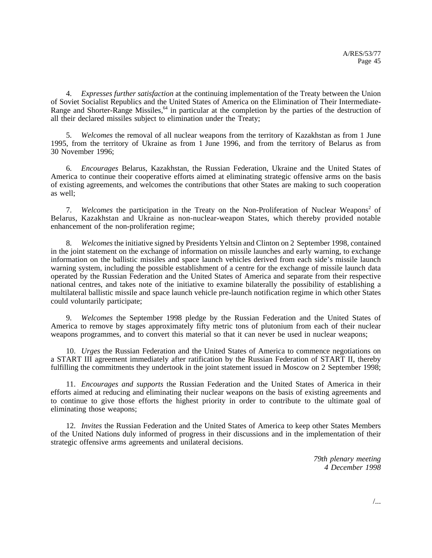4. *Expresses further satisfaction* at the continuing implementation of the Treaty between the Union of Soviet Socialist Republics and the United States of America on the Elimination of Their Intermediate-Range and Shorter-Range Missiles,<sup>64</sup> in particular at the completion by the parties of the destruction of all their declared missiles subject to elimination under the Treaty;

5. *Welcomes* the removal of all nuclear weapons from the territory of Kazakhstan as from 1 June 1995, from the territory of Ukraine as from 1 June 1996, and from the territory of Belarus as from 30 November 1996;

6. *Encourages* Belarus, Kazakhstan, the Russian Federation, Ukraine and the United States of America to continue their cooperative efforts aimed at eliminating strategic offensive arms on the basis of existing agreements, and welcomes the contributions that other States are making to such cooperation as well;

7. *Welcomes* the participation in the Treaty on the Non-Proliferation of Nuclear Weapons<sup>2</sup> of Belarus, Kazakhstan and Ukraine as non-nuclear-weapon States, which thereby provided notable enhancement of the non-proliferation regime;

8. *Welcomes* the initiative signed by Presidents Yeltsin and Clinton on 2 September 1998, contained in the joint statement on the exchange of information on missile launches and early warning, to exchange information on the ballistic missiles and space launch vehicles derived from each side's missile launch warning system, including the possible establishment of a centre for the exchange of missile launch data operated by the Russian Federation and the United States of America and separate from their respective national centres, and takes note of the initiative to examine bilaterally the possibility of establishing a multilateral ballistic missile and space launch vehicle pre-launch notification regime in which other States could voluntarily participate;

9. *Welcomes* the September 1998 pledge by the Russian Federation and the United States of America to remove by stages approximately fifty metric tons of plutonium from each of their nuclear weapons programmes, and to convert this material so that it can never be used in nuclear weapons;

10. *Urges* the Russian Federation and the United States of America to commence negotiations on a START III agreement immediately after ratification by the Russian Federation of START II, thereby fulfilling the commitments they undertook in the joint statement issued in Moscow on 2 September 1998;

11. *Encourages and supports* the Russian Federation and the United States of America in their efforts aimed at reducing and eliminating their nuclear weapons on the basis of existing agreements and to continue to give those efforts the highest priority in order to contribute to the ultimate goal of eliminating those weapons;

12. *Invites* the Russian Federation and the United States of America to keep other States Members of the United Nations duly informed of progress in their discussions and in the implementation of their strategic offensive arms agreements and unilateral decisions.

> *79th plenary meeting 4 December 1998*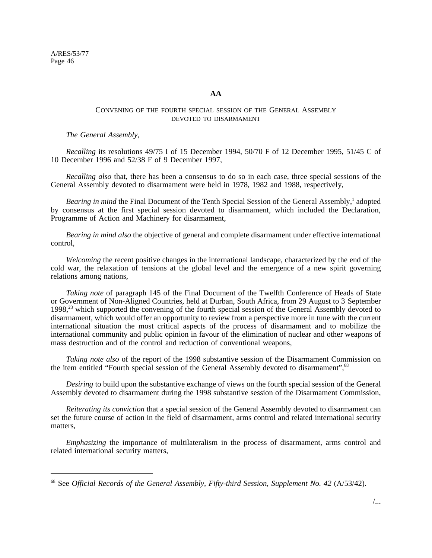## **AA**

## CONVENING OF THE FOURTH SPECIAL SESSION OF THE GENERAL ASSEMBLY DEVOTED TO DISARMAMENT

*The General Assembly*,

*Recalling* its resolutions 49/75 I of 15 December 1994, 50/70 F of 12 December 1995, 51/45 C of 10 December 1996 and 52/38 F of 9 December 1997,

*Recalling also* that, there has been a consensus to do so in each case, three special sessions of the General Assembly devoted to disarmament were held in 1978, 1982 and 1988, respectively,

*Bearing in mind* the Final Document of the Tenth Special Session of the General Assembly,<sup>1</sup> adopted by consensus at the first special session devoted to disarmament, which included the Declaration, Programme of Action and Machinery for disarmament,

*Bearing in mind also* the objective of general and complete disarmament under effective international control,

*Welcoming* the recent positive changes in the international landscape, characterized by the end of the cold war, the relaxation of tensions at the global level and the emergence of a new spirit governing relations among nations,

*Taking note* of paragraph 145 of the Final Document of the Twelfth Conference of Heads of State or Government of Non-Aligned Countries, held at Durban, South Africa, from 29 August to 3 September 1998,<sup>23</sup> which supported the convening of the fourth special session of the General Assembly devoted to disarmament, which would offer an opportunity to review from a perspective more in tune with the current international situation the most critical aspects of the process of disarmament and to mobilize the international community and public opinion in favour of the elimination of nuclear and other weapons of mass destruction and of the control and reduction of conventional weapons,

*Taking note also* of the report of the 1998 substantive session of the Disarmament Commission on the item entitled "Fourth special session of the General Assembly devoted to disarmament",<sup>68</sup>

*Desiring* to build upon the substantive exchange of views on the fourth special session of the General Assembly devoted to disarmament during the 1998 substantive session of the Disarmament Commission,

*Reiterating its conviction* that a special session of the General Assembly devoted to disarmament can set the future course of action in the field of disarmament, arms control and related international security matters,

*Emphasizing* the importance of multilateralism in the process of disarmament, arms control and related international security matters,

<sup>68</sup> See *Official Records of the General Assembly, Fifty-third Session, Supplement No. 42* (A/53/42).